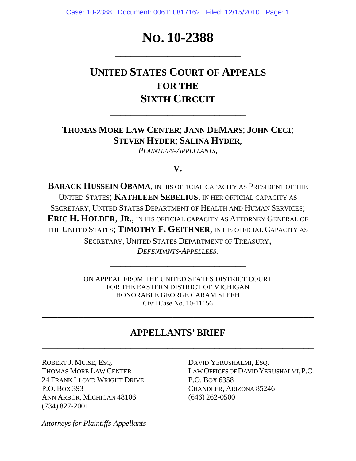# No. 10-2388

# **UNITED STATES COURT OF APPEALS FOR THE SIXTH CIRCUIT**

## **THOMAS MORE LAW CENTER**; **JANN DEMARS**; **JOHN CECI**; **STEVEN HYDER**; **SALINA HYDER**,

**\_\_\_\_\_\_\_\_\_\_\_\_\_\_\_\_\_\_\_\_\_\_\_\_\_\_**

*PLAINTIFFS-APPELLANTS*,

### **V.**

**BARACK HUSSEIN OBAMA**, IN HIS OFFICIAL CAPACITY AS PRESIDENT OF THE UNITED STATES; **KATHLEEN SEBELIUS**, IN HER OFFICIAL CAPACITY AS SECRETARY, UNITED STATES DEPARTMENT OF HEALTH AND HUMAN SERVICES; **ERIC H. HOLDER**, **JR.**, IN HIS OFFICIAL CAPACITY AS ATTORNEY GENERAL OF THE UNITED STATES; **TIMOTHY F. GEITHNER**, IN HIS OFFICIAL CAPACITY AS

> SECRETARY, UNITED STATES DEPARTMENT OF TREASURY, *DEFENDANTS-APPELLEES.*

> > **\_\_\_\_\_\_\_\_\_\_\_\_\_\_\_\_\_\_\_\_\_\_\_\_\_\_**

ON APPEAL FROM THE UNITED STATES DISTRICT COURT FOR THE EASTERN DISTRICT OF MICHIGAN HONORABLE GEORGE CARAM STEEH Civil Case No. 10-11156

### **APPELLANTS' BRIEF**

**\_\_\_\_\_\_\_\_\_\_\_\_\_\_\_\_\_\_\_\_\_\_\_\_\_\_\_\_\_\_\_\_\_\_\_\_\_\_\_\_\_\_\_\_\_\_\_\_\_\_\_\_** 

**\_\_\_\_\_\_\_\_\_\_\_\_\_\_\_\_\_\_\_\_\_\_\_\_\_\_\_\_\_\_\_\_\_\_\_\_\_\_\_\_\_\_\_\_\_\_\_\_\_\_\_\_** 

ROBERT J. MUISE, ESQ. DAVID YERUSHALMI, ESQ. 24 FRANK LLOYD WRIGHT DRIVE P.O. BOX 6358 P.O. BOX 393 CHANDLER, ARIZONA 85246 ANN ARBOR, MICHIGAN 48106 (646) 262-0500 (734) 827-2001

THOMAS MORE LAW CENTER LAW OFFICES OF DAVID YERUSHALMI, P.C.

*Attorneys for Plaintiffs-Appellants*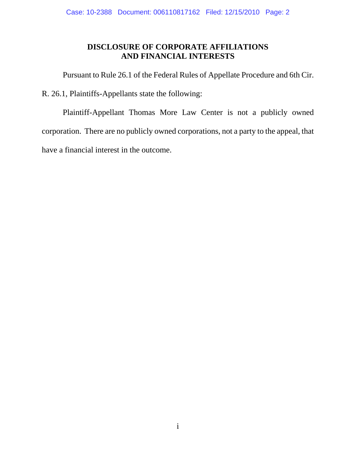### **DISCLOSURE OF CORPORATE AFFILIATIONS AND FINANCIAL INTERESTS**

Pursuant to Rule 26.1 of the Federal Rules of Appellate Procedure and 6th Cir.

R. 26.1, Plaintiffs-Appellants state the following:

 Plaintiff-Appellant Thomas More Law Center is not a publicly owned corporation. There are no publicly owned corporations, not a party to the appeal, that have a financial interest in the outcome.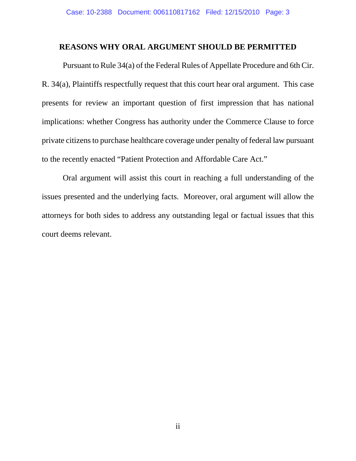#### **REASONS WHY ORAL ARGUMENT SHOULD BE PERMITTED**

Pursuant to Rule 34(a) of the Federal Rules of Appellate Procedure and 6th Cir. R. 34(a), Plaintiffs respectfully request that this court hear oral argument. This case presents for review an important question of first impression that has national implications: whether Congress has authority under the Commerce Clause to force private citizens to purchase healthcare coverage under penalty of federal law pursuant to the recently enacted "Patient Protection and Affordable Care Act."

Oral argument will assist this court in reaching a full understanding of the issues presented and the underlying facts. Moreover, oral argument will allow the attorneys for both sides to address any outstanding legal or factual issues that this court deems relevant.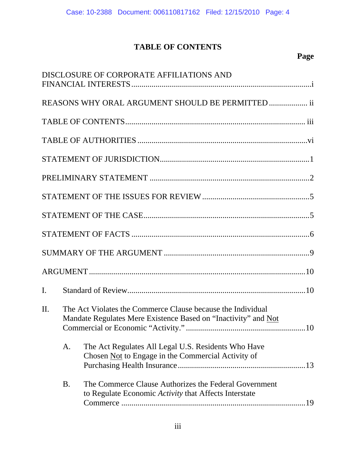## **TABLE OF CONTENTS**

## **Page**

|     |                                                                                                                               | DISCLOSURE OF CORPORATE AFFILIATIONS AND                                                                       |  |  |
|-----|-------------------------------------------------------------------------------------------------------------------------------|----------------------------------------------------------------------------------------------------------------|--|--|
|     |                                                                                                                               | REASONS WHY ORAL ARGUMENT SHOULD BE PERMITTED  ii                                                              |  |  |
|     |                                                                                                                               |                                                                                                                |  |  |
|     |                                                                                                                               |                                                                                                                |  |  |
|     |                                                                                                                               |                                                                                                                |  |  |
|     |                                                                                                                               |                                                                                                                |  |  |
|     |                                                                                                                               |                                                                                                                |  |  |
|     |                                                                                                                               |                                                                                                                |  |  |
|     |                                                                                                                               |                                                                                                                |  |  |
|     |                                                                                                                               |                                                                                                                |  |  |
|     |                                                                                                                               |                                                                                                                |  |  |
| I.  |                                                                                                                               |                                                                                                                |  |  |
| II. | The Act Violates the Commerce Clause because the Individual<br>Mandate Regulates Mere Existence Based on "Inactivity" and Not |                                                                                                                |  |  |
|     | A.                                                                                                                            | The Act Regulates All Legal U.S. Residents Who Have<br>Chosen Not to Engage in the Commercial Activity of      |  |  |
|     | <b>B.</b>                                                                                                                     | The Commerce Clause Authorizes the Federal Government<br>to Regulate Economic Activity that Affects Interstate |  |  |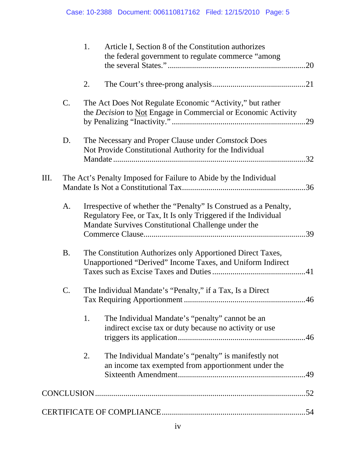|    |           | 1.<br>Article I, Section 8 of the Constitution authorizes<br>the federal government to regulate commerce "among                                                                           |
|----|-----------|-------------------------------------------------------------------------------------------------------------------------------------------------------------------------------------------|
|    |           | 2.                                                                                                                                                                                        |
|    | $C$ .     | The Act Does Not Regulate Economic "Activity," but rather<br>the Decision to Not Engage in Commercial or Economic Activity                                                                |
|    | D.        | The Necessary and Proper Clause under Comstock Does<br>Not Provide Constitutional Authority for the Individual                                                                            |
| Ш. |           | The Act's Penalty Imposed for Failure to Abide by the Individual                                                                                                                          |
|    | A.        | Irrespective of whether the "Penalty" Is Construed as a Penalty,<br>Regulatory Fee, or Tax, It Is only Triggered if the Individual<br>Mandate Survives Constitutional Challenge under the |
|    | <b>B.</b> | The Constitution Authorizes only Apportioned Direct Taxes,<br>Unapportioned "Derived" Income Taxes, and Uniform Indirect                                                                  |
|    | C.        | The Individual Mandate's "Penalty," if a Tax, Is a Direct<br>.46                                                                                                                          |
|    |           | 1.<br>The Individual Mandate's "penalty" cannot be an<br>indirect excise tax or duty because no activity or use                                                                           |
|    |           | The Individual Mandate's "penalty" is manifestly not<br>2.<br>an income tax exempted from apportionment under the                                                                         |
|    |           |                                                                                                                                                                                           |
|    |           |                                                                                                                                                                                           |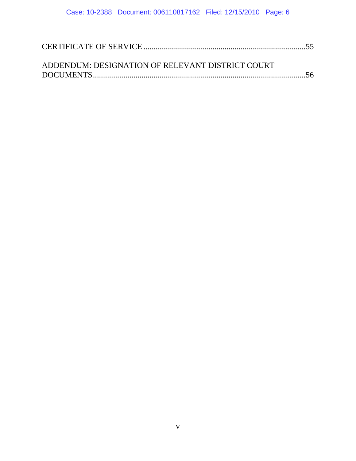| ADDENDUM: DESIGNATION OF RELEVANT DISTRICT COURT |  |
|--------------------------------------------------|--|
|                                                  |  |
|                                                  |  |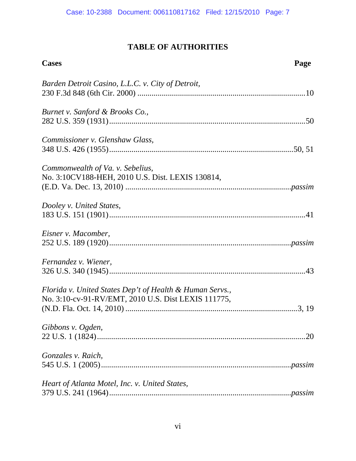## **TABLE OF AUTHORITIES**

| <b>Cases</b>                                                                                                    | Page |
|-----------------------------------------------------------------------------------------------------------------|------|
| Barden Detroit Casino, L.L.C. v. City of Detroit,                                                               |      |
| Burnet v. Sanford & Brooks Co.,                                                                                 |      |
| Commissioner v. Glenshaw Glass,                                                                                 |      |
| Commonwealth of Va. v. Sebelius,<br>No. 3:10CV188-HEH, 2010 U.S. Dist. LEXIS 130814,                            |      |
| Dooley v. United States,                                                                                        |      |
| Eisner v. Macomber,                                                                                             |      |
| Fernandez v. Wiener,                                                                                            |      |
| Florida v. United States Dep't of Health & Human Servs.,<br>No. 3:10-cv-91-RV/EMT, 2010 U.S. Dist LEXIS 111775, |      |
| Gibbons v. Ogden,                                                                                               | .20  |
| Gonzales v. Raich,                                                                                              |      |
| Heart of Atlanta Motel, Inc. v. United States,                                                                  |      |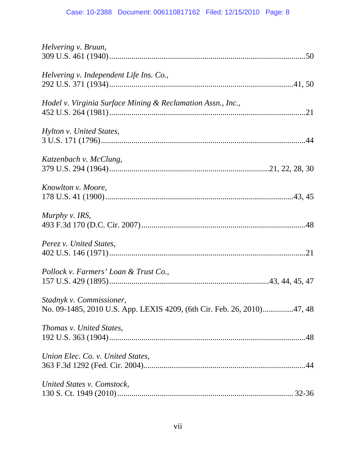| Helvering v. Bruun,                                                                                |
|----------------------------------------------------------------------------------------------------|
| Helvering v. Independent Life Ins. Co.,                                                            |
| Hodel v. Virginia Surface Mining & Reclamation Assn., Inc.,                                        |
| Hylton v. United States,                                                                           |
| Katzenbach v. McClung,                                                                             |
| Knowlton v. Moore,                                                                                 |
| Murphy v. IRS,                                                                                     |
| Perez v. United States,                                                                            |
| Pollock v. Farmers' Loan & Trust Co.,                                                              |
| Stadnyk v. Commissioner,<br>No. 09-1485, 2010 U.S. App. LEXIS 4209, (6th Cir. Feb. 26, 2010)47, 48 |
| Thomas v. United States,                                                                           |
| Union Elec. Co. v. United States,                                                                  |
| United States v. Comstock,                                                                         |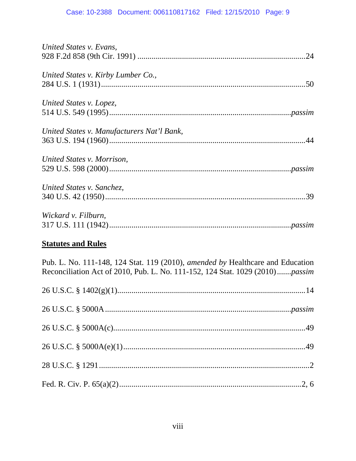| United States v. Evans,                                                                                                                                        |
|----------------------------------------------------------------------------------------------------------------------------------------------------------------|
| United States v. Kirby Lumber Co.,                                                                                                                             |
| United States v. Lopez,                                                                                                                                        |
| United States v. Manufacturers Nat'l Bank,                                                                                                                     |
| United States v. Morrison,                                                                                                                                     |
| United States v. Sanchez,                                                                                                                                      |
| Wickard v. Filburn,                                                                                                                                            |
| <b>Statutes and Rules</b>                                                                                                                                      |
| Pub. L. No. 111-148, 124 Stat. 119 (2010), amended by Healthcare and Education<br>Reconciliation Act of 2010, Pub. L. No. 111-152, 124 Stat. 1029 (2010)passim |
|                                                                                                                                                                |
|                                                                                                                                                                |
|                                                                                                                                                                |
|                                                                                                                                                                |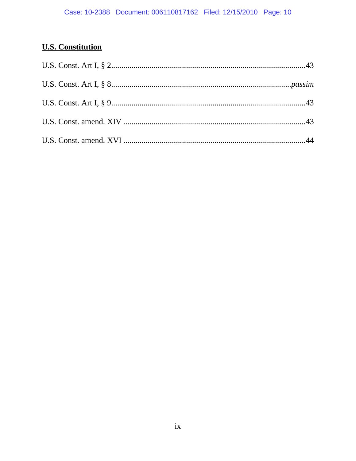## **U.S. Constitution**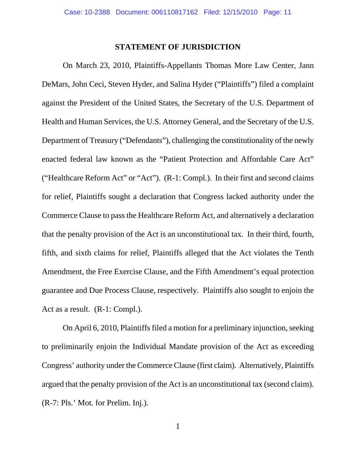#### **STATEMENT OF JURISDICTION**

On March 23, 2010, Plaintiffs-Appellants Thomas More Law Center, Jann DeMars, John Ceci, Steven Hyder, and Salina Hyder ("Plaintiffs") filed a complaint against the President of the United States, the Secretary of the U.S. Department of Health and Human Services, the U.S. Attorney General, and the Secretary of the U.S. Department of Treasury ("Defendants"), challenging the constitutionality of the newly enacted federal law known as the "Patient Protection and Affordable Care Act" ("Healthcare Reform Act" or "Act"). (R-1: Compl.). In their first and second claims for relief, Plaintiffs sought a declaration that Congress lacked authority under the Commerce Clause to pass the Healthcare Reform Act, and alternatively a declaration that the penalty provision of the Act is an unconstitutional tax. In their third, fourth, fifth, and sixth claims for relief, Plaintiffs alleged that the Act violates the Tenth Amendment, the Free Exercise Clause, and the Fifth Amendment's equal protection guarantee and Due Process Clause, respectively. Plaintiffs also sought to enjoin the Act as a result. (R-1: Compl.).

On April 6, 2010, Plaintiffs filed a motion for a preliminary injunction, seeking to preliminarily enjoin the Individual Mandate provision of the Act as exceeding Congress' authority under the Commerce Clause (first claim). Alternatively, Plaintiffs argued that the penalty provision of the Act is an unconstitutional tax (second claim). (R-7: Pls.' Mot. for Prelim. Inj.).

1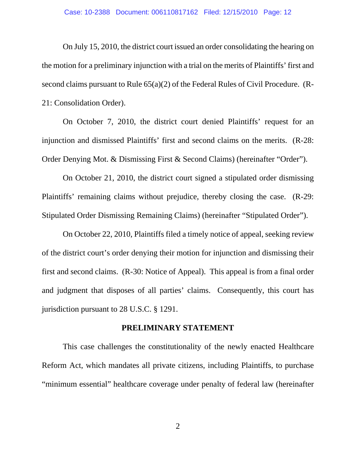On July 15, 2010, the district court issued an order consolidating the hearing on the motion for a preliminary injunction with a trial on the merits of Plaintiffs' first and second claims pursuant to Rule 65(a)(2) of the Federal Rules of Civil Procedure. (R-21: Consolidation Order).

On October 7, 2010, the district court denied Plaintiffs' request for an injunction and dismissed Plaintiffs' first and second claims on the merits. (R-28: Order Denying Mot. & Dismissing First & Second Claims) (hereinafter "Order").

On October 21, 2010, the district court signed a stipulated order dismissing Plaintiffs' remaining claims without prejudice, thereby closing the case. (R-29: Stipulated Order Dismissing Remaining Claims) (hereinafter "Stipulated Order").

 On October 22, 2010, Plaintiffs filed a timely notice of appeal, seeking review of the district court's order denying their motion for injunction and dismissing their first and second claims. (R-30: Notice of Appeal). This appeal is from a final order and judgment that disposes of all parties' claims. Consequently, this court has jurisdiction pursuant to 28 U.S.C. § 1291.

#### **PRELIMINARY STATEMENT**

This case challenges the constitutionality of the newly enacted Healthcare Reform Act, which mandates all private citizens, including Plaintiffs, to purchase "minimum essential" healthcare coverage under penalty of federal law (hereinafter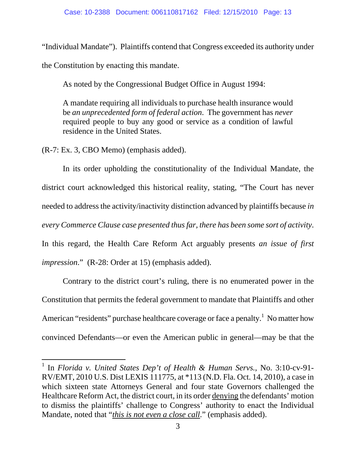"Individual Mandate"). Plaintiffs contend that Congress exceeded its authority under

the Constitution by enacting this mandate.

As noted by the Congressional Budget Office in August 1994:

A mandate requiring all individuals to purchase health insurance would be *an unprecedented form of federal action*. The government has *never* required people to buy any good or service as a condition of lawful residence in the United States.

(R-7: Ex. 3, CBO Memo) (emphasis added).

-

In its order upholding the constitutionality of the Individual Mandate, the district court acknowledged this historical reality, stating, "The Court has never needed to address the activity/inactivity distinction advanced by plaintiffs because *in every Commerce Clause case presented thus far, there has been some sort of activity*. In this regard, the Health Care Reform Act arguably presents *an issue of first impression*." (R-28: Order at 15) (emphasis added).

Contrary to the district court's ruling, there is no enumerated power in the Constitution that permits the federal government to mandate that Plaintiffs and other American "residents" purchase healthcare coverage or face a penalty.<sup>1</sup> No matter how convinced Defendants—or even the American public in general—may be that the

<sup>1</sup> In *Florida v. United States Dep't of Health & Human Servs.*, No. 3:10-cv-91- RV/EMT, 2010 U.S. Dist LEXIS 111775, at \*113 (N.D. Fla. Oct. 14, 2010), a case in which sixteen state Attorneys General and four state Governors challenged the Healthcare Reform Act, the district court, in its order denying the defendants' motion to dismiss the plaintiffs' challenge to Congress' authority to enact the Individual Mandate, noted that "*this is not even a close call*." (emphasis added).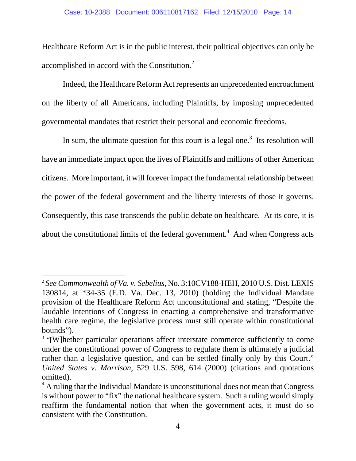Healthcare Reform Act is in the public interest, their political objectives can only be accomplished in accord with the Constitution.<sup>2</sup>

Indeed, the Healthcare Reform Act represents an unprecedented encroachment on the liberty of all Americans, including Plaintiffs, by imposing unprecedented governmental mandates that restrict their personal and economic freedoms.

In sum, the ultimate question for this court is a legal one.<sup>3</sup> Its resolution will have an immediate impact upon the lives of Plaintiffs and millions of other American citizens. More important, it will forever impact the fundamental relationship between the power of the federal government and the liberty interests of those it governs. Consequently, this case transcends the public debate on healthcare. At its core, it is about the constitutional limits of the federal government.<sup>4</sup> And when Congress acts

j

<sup>2</sup> *See Commonwealth of Va. v. Sebelius*, No. 3:10CV188-HEH, 2010 U.S. Dist. LEXIS 130814, at \*34-35 (E.D. Va. Dec. 13, 2010) (holding the Individual Mandate provision of the Healthcare Reform Act unconstitutional and stating, "Despite the laudable intentions of Congress in enacting a comprehensive and transformative health care regime, the legislative process must still operate within constitutional bounds").

<sup>&</sup>lt;sup>3</sup> "[W]hether particular operations affect interstate commerce sufficiently to come under the constitutional power of Congress to regulate them is ultimately a judicial rather than a legislative question, and can be settled finally only by this Court." *United States v. Morrison*, 529 U.S. 598, 614 (2000) (citations and quotations omitted).

 $4$  A ruling that the Individual Mandate is unconstitutional does not mean that Congress is without power to "fix" the national healthcare system. Such a ruling would simply reaffirm the fundamental notion that when the government acts, it must do so consistent with the Constitution.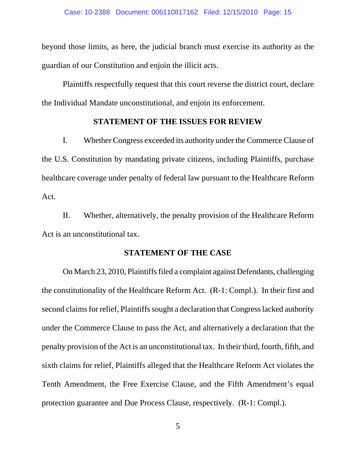beyond those limits, as here, the judicial branch must exercise its authority as the guardian of our Constitution and enjoin the illicit acts.

Plaintiffs respectfully request that this court reverse the district court, declare the Individual Mandate unconstitutional, and enjoin its enforcement.

#### **STATEMENT OF THE ISSUES FOR REVIEW**

I. Whether Congress exceeded its authority under the Commerce Clause of the U.S. Constitution by mandating private citizens, including Plaintiffs, purchase healthcare coverage under penalty of federal law pursuant to the Healthcare Reform Act.

II. Whether, alternatively, the penalty provision of the Healthcare Reform Act is an unconstitutional tax.

#### **STATEMENT OF THE CASE**

On March 23, 2010, Plaintiffs filed a complaint against Defendants, challenging the constitutionality of the Healthcare Reform Act. (R-1: Compl.). In their first and second claims for relief, Plaintiffs sought a declaration that Congress lacked authority under the Commerce Clause to pass the Act, and alternatively a declaration that the penalty provision of the Act is an unconstitutional tax. In their third, fourth, fifth, and sixth claims for relief, Plaintiffs alleged that the Healthcare Reform Act violates the Tenth Amendment, the Free Exercise Clause, and the Fifth Amendment's equal protection guarantee and Due Process Clause, respectively. (R-1: Compl.).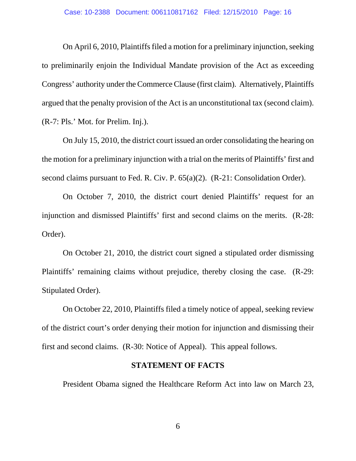On April 6, 2010, Plaintiffs filed a motion for a preliminary injunction, seeking to preliminarily enjoin the Individual Mandate provision of the Act as exceeding Congress' authority under the Commerce Clause (first claim). Alternatively, Plaintiffs argued that the penalty provision of the Act is an unconstitutional tax (second claim). (R-7: Pls.' Mot. for Prelim. Inj.).

On July 15, 2010, the district court issued an order consolidating the hearing on the motion for a preliminary injunction with a trial on the merits of Plaintiffs' first and second claims pursuant to Fed. R. Civ. P. 65(a)(2). (R-21: Consolidation Order).

On October 7, 2010, the district court denied Plaintiffs' request for an injunction and dismissed Plaintiffs' first and second claims on the merits. (R-28: Order).

On October 21, 2010, the district court signed a stipulated order dismissing Plaintiffs' remaining claims without prejudice, thereby closing the case. (R-29: Stipulated Order).

 On October 22, 2010, Plaintiffs filed a timely notice of appeal, seeking review of the district court's order denying their motion for injunction and dismissing their first and second claims. (R-30: Notice of Appeal). This appeal follows.

#### **STATEMENT OF FACTS**

President Obama signed the Healthcare Reform Act into law on March 23,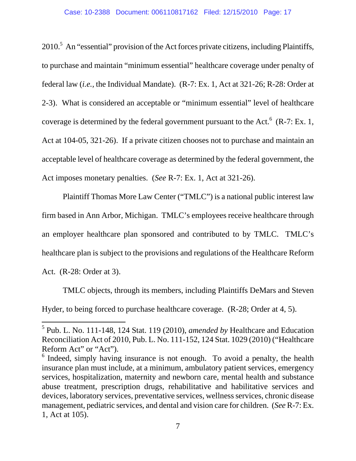$2010<sup>5</sup>$  An "essential" provision of the Act forces private citizens, including Plaintiffs, to purchase and maintain "minimum essential" healthcare coverage under penalty of federal law (*i.e.,* the Individual Mandate). (R-7: Ex. 1, Act at 321-26; R-28: Order at 2-3). What is considered an acceptable or "minimum essential" level of healthcare coverage is determined by the federal government pursuant to the Act.  $6$  (R-7: Ex. 1, Act at 104-05, 321-26). If a private citizen chooses not to purchase and maintain an acceptable level of healthcare coverage as determined by the federal government, the Act imposes monetary penalties. (*See* R-7: Ex. 1, Act at 321-26).

Plaintiff Thomas More Law Center ("TMLC") is a national public interest law firm based in Ann Arbor, Michigan. TMLC's employees receive healthcare through an employer healthcare plan sponsored and contributed to by TMLC. TMLC's healthcare plan is subject to the provisions and regulations of the Healthcare Reform Act. (R-28: Order at 3).

TMLC objects, through its members, including Plaintiffs DeMars and Steven Hyder, to being forced to purchase healthcare coverage. (R-28; Order at 4, 5).

j

<sup>5</sup> Pub. L. No. 111-148, 124 Stat. 119 (2010), *amended by* Healthcare and Education Reconciliation Act of 2010, Pub. L. No. 111-152, 124 Stat. 1029 (2010) ("Healthcare Reform Act" or "Act").

 $6$  Indeed, simply having insurance is not enough. To avoid a penalty, the health insurance plan must include, at a minimum, ambulatory patient services, emergency services, hospitalization, maternity and newborn care, mental health and substance abuse treatment, prescription drugs, rehabilitative and habilitative services and devices, laboratory services, preventative services, wellness services, chronic disease management, pediatric services, and dental and vision care for children. (*See* R-7: Ex. 1, Act at 105).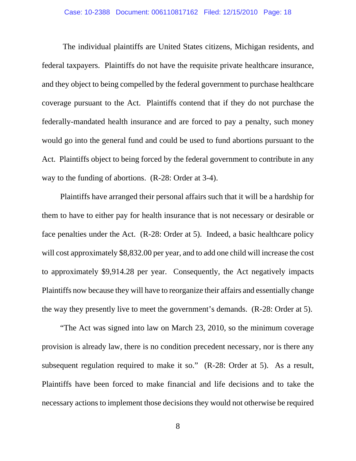The individual plaintiffs are United States citizens, Michigan residents, and federal taxpayers. Plaintiffs do not have the requisite private healthcare insurance, and they object to being compelled by the federal government to purchase healthcare coverage pursuant to the Act. Plaintiffs contend that if they do not purchase the federally-mandated health insurance and are forced to pay a penalty, such money would go into the general fund and could be used to fund abortions pursuant to the Act. Plaintiffs object to being forced by the federal government to contribute in any way to the funding of abortions. (R-28: Order at 3-4).

 Plaintiffs have arranged their personal affairs such that it will be a hardship for them to have to either pay for health insurance that is not necessary or desirable or face penalties under the Act. (R-28: Order at 5). Indeed, a basic healthcare policy will cost approximately \$8,832.00 per year, and to add one child will increase the cost to approximately \$9,914.28 per year. Consequently, the Act negatively impacts Plaintiffs now because they will have to reorganize their affairs and essentially change the way they presently live to meet the government's demands. (R-28: Order at 5).

 "The Act was signed into law on March 23, 2010, so the minimum coverage provision is already law, there is no condition precedent necessary, nor is there any subsequent regulation required to make it so." (R-28: Order at 5). As a result, Plaintiffs have been forced to make financial and life decisions and to take the necessary actions to implement those decisions they would not otherwise be required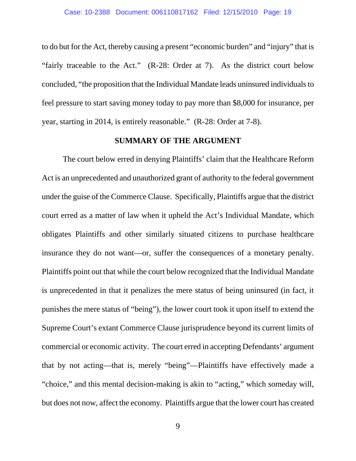to do but for the Act, thereby causing a present "economic burden" and "injury" that is "fairly traceable to the Act." (R-28: Order at 7). As the district court below concluded, "the proposition that the Individual Mandate leads uninsured individuals to feel pressure to start saving money today to pay more than \$8,000 for insurance, per year, starting in 2014, is entirely reasonable." (R-28: Order at 7-8).

#### **SUMMARY OF THE ARGUMENT**

The court below erred in denying Plaintiffs' claim that the Healthcare Reform Act is an unprecedented and unauthorized grant of authority to the federal government under the guise of the Commerce Clause. Specifically, Plaintiffs argue that the district court erred as a matter of law when it upheld the Act's Individual Mandate, which obligates Plaintiffs and other similarly situated citizens to purchase healthcare insurance they do not want—or, suffer the consequences of a monetary penalty. Plaintiffs point out that while the court below recognized that the Individual Mandate is unprecedented in that it penalizes the mere status of being uninsured (in fact, it punishes the mere status of "being"), the lower court took it upon itself to extend the Supreme Court's extant Commerce Clause jurisprudence beyond its current limits of commercial or economic activity. The court erred in accepting Defendants' argument that by not acting—that is, merely "being"—Plaintiffs have effectively made a "choice," and this mental decision-making is akin to "acting," which someday will, but does not now, affect the economy. Plaintiffs argue that the lower court has created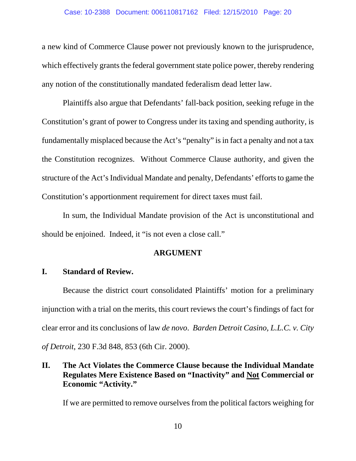a new kind of Commerce Clause power not previously known to the jurisprudence, which effectively grants the federal government state police power, thereby rendering any notion of the constitutionally mandated federalism dead letter law.

Plaintiffs also argue that Defendants' fall-back position, seeking refuge in the Constitution's grant of power to Congress under its taxing and spending authority, is fundamentally misplaced because the Act's "penalty" is in fact a penalty and not a tax the Constitution recognizes. Without Commerce Clause authority, and given the structure of the Act's Individual Mandate and penalty, Defendants' efforts to game the Constitution's apportionment requirement for direct taxes must fail.

In sum, the Individual Mandate provision of the Act is unconstitutional and should be enjoined. Indeed, it "is not even a close call."

#### **ARGUMENT**

#### **I. Standard of Review.**

Because the district court consolidated Plaintiffs' motion for a preliminary injunction with a trial on the merits, this court reviews the court's findings of fact for clear error and its conclusions of law *de novo*. *Barden Detroit Casino, L.L.C. v. City of Detroit*, 230 F.3d 848, 853 (6th Cir. 2000).

**II. The Act Violates the Commerce Clause because the Individual Mandate Regulates Mere Existence Based on "Inactivity" and Not Commercial or Economic "Activity."** 

If we are permitted to remove ourselves from the political factors weighing for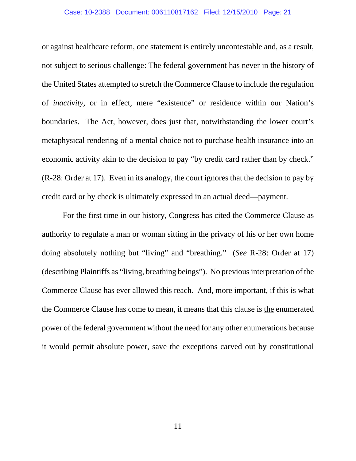or against healthcare reform, one statement is entirely uncontestable and, as a result, not subject to serious challenge: The federal government has never in the history of the United States attempted to stretch the Commerce Clause to include the regulation of *inactivity*, or in effect, mere "existence" or residence within our Nation's boundaries. The Act, however, does just that, notwithstanding the lower court's metaphysical rendering of a mental choice not to purchase health insurance into an economic activity akin to the decision to pay "by credit card rather than by check." (R-28: Order at 17). Even in its analogy, the court ignores that the decision to pay by credit card or by check is ultimately expressed in an actual deed—payment.

For the first time in our history, Congress has cited the Commerce Clause as authority to regulate a man or woman sitting in the privacy of his or her own home doing absolutely nothing but "living" and "breathing." (*See* R-28: Order at 17) (describing Plaintiffs as "living, breathing beings"). No previous interpretation of the Commerce Clause has ever allowed this reach. And, more important, if this is what the Commerce Clause has come to mean, it means that this clause is the enumerated power of the federal government without the need for any other enumerations because it would permit absolute power, save the exceptions carved out by constitutional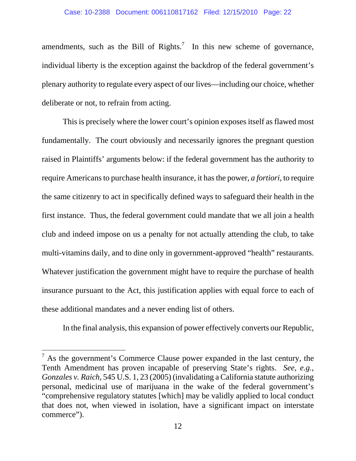amendments, such as the Bill of Rights.<sup>7</sup> In this new scheme of governance, individual liberty is the exception against the backdrop of the federal government's plenary authority to regulate every aspect of our lives—including our choice, whether deliberate or not, to refrain from acting.

This is precisely where the lower court's opinion exposes itself as flawed most fundamentally. The court obviously and necessarily ignores the pregnant question raised in Plaintiffs' arguments below: if the federal government has the authority to require Americans to purchase health insurance, it has the power, *a fortiori*, to require the same citizenry to act in specifically defined ways to safeguard their health in the first instance. Thus, the federal government could mandate that we all join a health club and indeed impose on us a penalty for not actually attending the club, to take multi-vitamins daily, and to dine only in government-approved "health" restaurants. Whatever justification the government might have to require the purchase of health insurance pursuant to the Act, this justification applies with equal force to each of these additional mandates and a never ending list of others.

In the final analysis, this expansion of power effectively converts our Republic,

-

 $<sup>7</sup>$  As the government's Commerce Clause power expanded in the last century, the</sup> Tenth Amendment has proven incapable of preserving State's rights. *See, e.g., Gonzales v. Raich*, 545 U.S. 1, 23 (2005) (invalidating a California statute authorizing personal, medicinal use of marijuana in the wake of the federal government's "comprehensive regulatory statutes [which] may be validly applied to local conduct that does not, when viewed in isolation, have a significant impact on interstate commerce").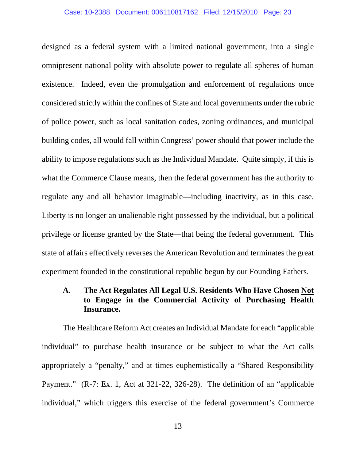designed as a federal system with a limited national government, into a single omnipresent national polity with absolute power to regulate all spheres of human existence. Indeed, even the promulgation and enforcement of regulations once considered strictly within the confines of State and local governments under the rubric of police power, such as local sanitation codes, zoning ordinances, and municipal building codes, all would fall within Congress' power should that power include the ability to impose regulations such as the Individual Mandate. Quite simply, if this is what the Commerce Clause means, then the federal government has the authority to regulate any and all behavior imaginable—including inactivity, as in this case. Liberty is no longer an unalienable right possessed by the individual, but a political privilege or license granted by the State—that being the federal government. This state of affairs effectively reverses the American Revolution and terminates the great experiment founded in the constitutional republic begun by our Founding Fathers.

### **A. The Act Regulates All Legal U.S. Residents Who Have Chosen Not to Engage in the Commercial Activity of Purchasing Health Insurance.**

The Healthcare Reform Act creates an Individual Mandate for each "applicable individual" to purchase health insurance or be subject to what the Act calls appropriately a "penalty," and at times euphemistically a "Shared Responsibility Payment." (R-7: Ex. 1, Act at 321-22, 326-28). The definition of an "applicable individual," which triggers this exercise of the federal government's Commerce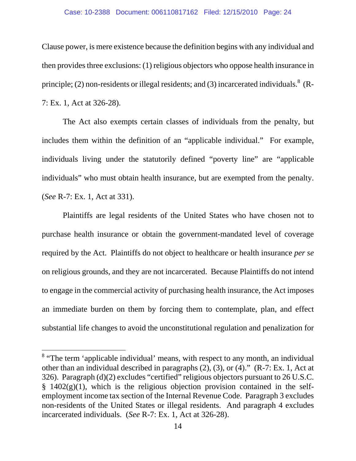Clause power, is mere existence because the definition begins with any individual and then provides three exclusions: (1) religious objectors who oppose health insurance in principle; (2) non-residents or illegal residents; and (3) incarcerated individuals.<sup>8</sup> (R-7: Ex. 1, Act at 326-28).

The Act also exempts certain classes of individuals from the penalty, but includes them within the definition of an "applicable individual." For example, individuals living under the statutorily defined "poverty line" are "applicable individuals" who must obtain health insurance, but are exempted from the penalty. (*See* R-7: Ex. 1, Act at 331).

Plaintiffs are legal residents of the United States who have chosen not to purchase health insurance or obtain the government-mandated level of coverage required by the Act. Plaintiffs do not object to healthcare or health insurance *per se* on religious grounds, and they are not incarcerated. Because Plaintiffs do not intend to engage in the commercial activity of purchasing health insurance, the Act imposes an immediate burden on them by forcing them to contemplate, plan, and effect substantial life changes to avoid the unconstitutional regulation and penalization for

-

<sup>&</sup>lt;sup>8</sup> "The term 'applicable individual' means, with respect to any month, an individual other than an individual described in paragraphs (2), (3), or (4)." (R-7: Ex. 1, Act at 326). Paragraph (d)(2) excludes "certified" religious objectors pursuant to 26 U.S.C.  $§$  1402(g)(1), which is the religious objection provision contained in the selfemployment income tax section of the Internal Revenue Code. Paragraph 3 excludes non-residents of the United States or illegal residents. And paragraph 4 excludes incarcerated individuals. (*See* R-7: Ex. 1, Act at 326-28).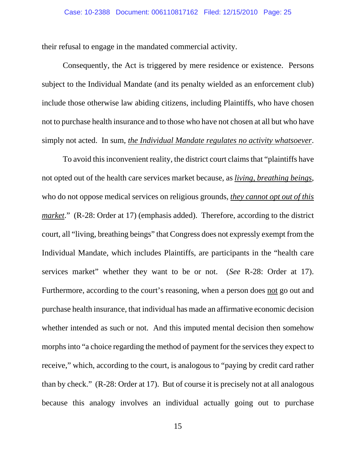their refusal to engage in the mandated commercial activity.

Consequently, the Act is triggered by mere residence or existence. Persons subject to the Individual Mandate (and its penalty wielded as an enforcement club) include those otherwise law abiding citizens, including Plaintiffs, who have chosen not to purchase health insurance and to those who have not chosen at all but who have simply not acted. In sum, *the Individual Mandate regulates no activity whatsoever*.

To avoid this inconvenient reality, the district court claims that "plaintiffs have not opted out of the health care services market because, as *living, breathing beings*, who do not oppose medical services on religious grounds, *they cannot opt out of this market*." (R-28: Order at 17) (emphasis added). Therefore, according to the district court, all "living, breathing beings" that Congress does not expressly exempt from the Individual Mandate, which includes Plaintiffs, are participants in the "health care services market" whether they want to be or not. (*See* R-28: Order at 17). Furthermore, according to the court's reasoning, when a person does not go out and purchase health insurance, that individual has made an affirmative economic decision whether intended as such or not. And this imputed mental decision then somehow morphs into "a choice regarding the method of payment for the services they expect to receive," which, according to the court, is analogous to "paying by credit card rather than by check." (R-28: Order at 17). But of course it is precisely not at all analogous because this analogy involves an individual actually going out to purchase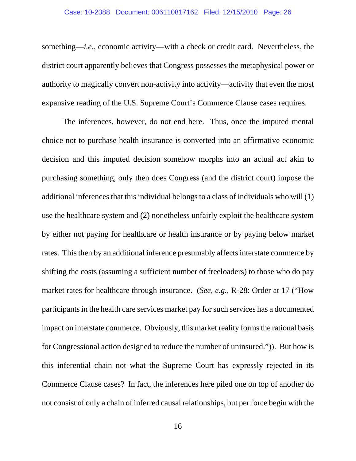something—*i.e.*, economic activity—with a check or credit card. Nevertheless, the district court apparently believes that Congress possesses the metaphysical power or authority to magically convert non-activity into activity—activity that even the most expansive reading of the U.S. Supreme Court's Commerce Clause cases requires.

The inferences, however, do not end here. Thus, once the imputed mental choice not to purchase health insurance is converted into an affirmative economic decision and this imputed decision somehow morphs into an actual act akin to purchasing something, only then does Congress (and the district court) impose the additional inferences that this individual belongs to a class of individuals who will (1) use the healthcare system and (2) nonetheless unfairly exploit the healthcare system by either not paying for healthcare or health insurance or by paying below market rates. This then by an additional inference presumably affects interstate commerce by shifting the costs (assuming a sufficient number of freeloaders) to those who do pay market rates for healthcare through insurance. (*See, e.g.,* R-28: Order at 17 ("How participants in the health care services market pay for such services has a documented impact on interstate commerce. Obviously, this market reality forms the rational basis for Congressional action designed to reduce the number of uninsured.")). But how is this inferential chain not what the Supreme Court has expressly rejected in its Commerce Clause cases? In fact, the inferences here piled one on top of another do not consist of only a chain of inferred causal relationships, but per force begin with the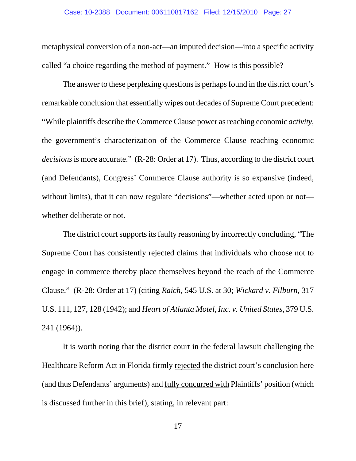metaphysical conversion of a non-act—an imputed decision—into a specific activity called "a choice regarding the method of payment." How is this possible?

The answer to these perplexing questions is perhaps found in the district court's remarkable conclusion that essentially wipes out decades of Supreme Court precedent: "While plaintiffs describe the Commerce Clause power as reaching economic *activity*, the government's characterization of the Commerce Clause reaching economic *decisions* is more accurate." (R-28: Order at 17). Thus, according to the district court (and Defendants), Congress' Commerce Clause authority is so expansive (indeed, without limits), that it can now regulate "decisions"—whether acted upon or not whether deliberate or not.

The district court supports its faulty reasoning by incorrectly concluding, "The Supreme Court has consistently rejected claims that individuals who choose not to engage in commerce thereby place themselves beyond the reach of the Commerce Clause." (R-28: Order at 17) (citing *Raich*, 545 U.S. at 30; *Wickard v. Filburn,* 317 U.S. 111, 127, 128 (1942); and *Heart of Atlanta Motel, Inc. v. United States,* 379 U.S. 241 (1964)).

It is worth noting that the district court in the federal lawsuit challenging the Healthcare Reform Act in Florida firmly rejected the district court's conclusion here (and thus Defendants' arguments) and fully concurred with Plaintiffs' position (which is discussed further in this brief), stating, in relevant part: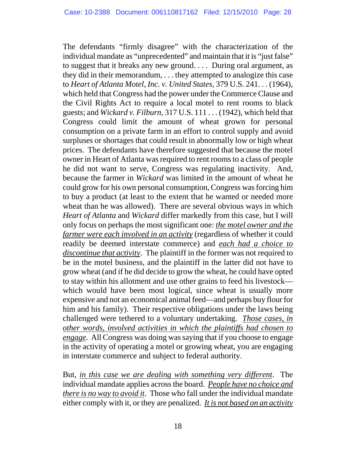The defendants "firmly disagree" with the characterization of the individual mandate as "unprecedented" and maintain that it is "just false" to suggest that it breaks any new ground. . . . During oral argument, as they did in their memorandum, . . . they attempted to analogize this case to *Heart of Atlanta Motel, Inc. v. United States,* 379 U.S. 241. . . (1964), which held that Congress had the power under the Commerce Clause and the Civil Rights Act to require a local motel to rent rooms to black guests; and *Wickard v. Filburn,* 317 U.S. 111 . . . (1942), which held that Congress could limit the amount of wheat grown for personal consumption on a private farm in an effort to control supply and avoid surpluses or shortages that could result in abnormally low or high wheat prices. The defendants have therefore suggested that because the motel owner in Heart of Atlanta was required to rent rooms to a class of people he did not want to serve, Congress was regulating inactivity. And, because the farmer in *Wickard* was limited in the amount of wheat he could grow for his own personal consumption, Congress was forcing him to buy a product (at least to the extent that he wanted or needed more wheat than he was allowed). There are several obvious ways in which *Heart of Atlanta* and *Wickard* differ markedly from this case, but I will only focus on perhaps the most significant one: *the motel owner and the farmer were each involved in an activity* (regardless of whether it could readily be deemed interstate commerce) and *each had a choice to discontinue that activity*. The plaintiff in the former was not required to be in the motel business, and the plaintiff in the latter did not have to grow wheat (and if he did decide to grow the wheat, he could have opted to stay within his allotment and use other grains to feed his livestock which would have been most logical, since wheat is usually more expensive and not an economical animal feed—and perhaps buy flour for him and his family). Their respective obligations under the laws being challenged were tethered to a voluntary undertaking. *Those cases, in other words, involved activities in which the plaintiffs had chosen to engage*. All Congress was doing was saying that if you choose to engage in the activity of operating a motel or growing wheat, you are engaging in interstate commerce and subject to federal authority.

But, *in this case we are dealing with something very different*. The individual mandate applies across the board. *People have no choice and there is no way to avoid it*. Those who fall under the individual mandate either comply with it, or they are penalized. *It is not based on an activity*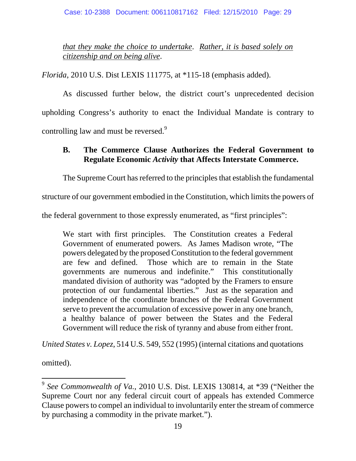*that they make the choice to undertake*. *Rather, it is based solely on citizenship and on being alive*.

*Florida*, 2010 U.S. Dist LEXIS 111775, at \*115-18 (emphasis added).

As discussed further below, the district court's unprecedented decision upholding Congress's authority to enact the Individual Mandate is contrary to controlling law and must be reversed.<sup>9</sup>

### **B. The Commerce Clause Authorizes the Federal Government to Regulate Economic** *Activity* **that Affects Interstate Commerce.**

The Supreme Court has referred to the principles that establish the fundamental

structure of our government embodied in the Constitution, which limits the powers of

the federal government to those expressly enumerated, as "first principles":

We start with first principles. The Constitution creates a Federal Government of enumerated powers. As James Madison wrote, "The powers delegated by the proposed Constitution to the federal government are few and defined. Those which are to remain in the State governments are numerous and indefinite." This constitutionally mandated division of authority was "adopted by the Framers to ensure protection of our fundamental liberties." Just as the separation and independence of the coordinate branches of the Federal Government serve to prevent the accumulation of excessive power in any one branch, a healthy balance of power between the States and the Federal Government will reduce the risk of tyranny and abuse from either front.

*United States v. Lopez*, 514 U.S. 549, 552 (1995) (internal citations and quotations

omitted).

 $\overline{a}$ 

<sup>9</sup> *See Commonwealth of Va.*, 2010 U.S. Dist. LEXIS 130814, at \*39 ("Neither the Supreme Court nor any federal circuit court of appeals has extended Commerce Clause powers to compel an individual to involuntarily enter the stream of commerce by purchasing a commodity in the private market.").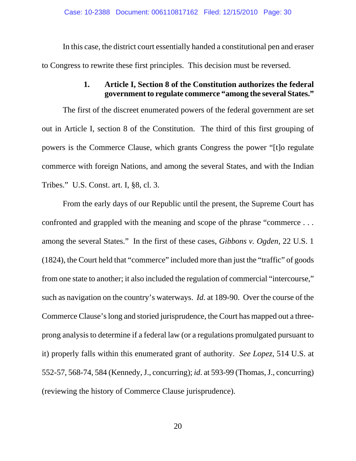In this case, the district court essentially handed a constitutional pen and eraser to Congress to rewrite these first principles. This decision must be reversed.

### **1. Article I, Section 8 of the Constitution authorizes the federal government to regulate commerce "among the several States."**

The first of the discreet enumerated powers of the federal government are set out in Article I, section 8 of the Constitution. The third of this first grouping of powers is the Commerce Clause, which grants Congress the power "[t]o regulate commerce with foreign Nations, and among the several States, and with the Indian Tribes." U.S. Const. art. I, §8, cl. 3.

From the early days of our Republic until the present, the Supreme Court has confronted and grappled with the meaning and scope of the phrase "commerce . . . among the several States." In the first of these cases, *Gibbons v. Ogden*, 22 U.S. 1 (1824), the Court held that "commerce" included more than just the "traffic" of goods from one state to another; it also included the regulation of commercial "intercourse," such as navigation on the country's waterways. *Id.* at 189-90. Over the course of the Commerce Clause's long and storied jurisprudence, the Court has mapped out a threeprong analysis to determine if a federal law (or a regulations promulgated pursuant to it) properly falls within this enumerated grant of authority. *See Lopez*, 514 U.S. at 552-57, 568-74, 584 (Kennedy, J., concurring); *id*. at 593-99 (Thomas, J., concurring) (reviewing the history of Commerce Clause jurisprudence).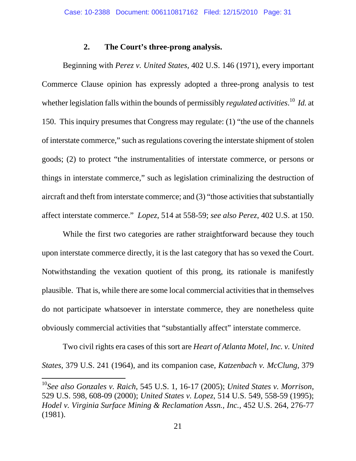#### **2. The Court's three-prong analysis.**

Beginning with *Perez v. United States,* 402 U.S. 146 (1971), every important Commerce Clause opinion has expressly adopted a three-prong analysis to test whether legislation falls within the bounds of permissibly *regulated activities*. 10 *Id.* at 150. This inquiry presumes that Congress may regulate: (1) "the use of the channels of interstate commerce," such as regulations covering the interstate shipment of stolen goods; (2) to protect "the instrumentalities of interstate commerce, or persons or things in interstate commerce," such as legislation criminalizing the destruction of aircraft and theft from interstate commerce; and (3) "those activities that substantially affect interstate commerce." *Lopez*, 514 at 558-59; *see also Perez*, 402 U.S. at 150.

While the first two categories are rather straightforward because they touch upon interstate commerce directly, it is the last category that has so vexed the Court. Notwithstanding the vexation quotient of this prong, its rationale is manifestly plausible. That is, while there are some local commercial activities that in themselves do not participate whatsoever in interstate commerce, they are nonetheless quite obviously commercial activities that "substantially affect" interstate commerce.

 Two civil rights era cases of this sort are *Heart of Atlanta Motel, Inc. v. United States,* 379 U.S. 241 (1964), and its companion case, *Katzenbach v. McClung,* 379

 $\overline{a}$ 

<sup>10</sup>*See also Gonzales v. Raich*, 545 U.S. 1, 16-17 (2005); *United States v. Morrison*, 529 U.S. 598, 608-09 (2000); *United States v. Lopez*, 514 U.S. 549, 558-59 (1995); *Hodel v. Virginia Surface Mining & Reclamation Assn., Inc.,* 452 U.S. 264, 276-77 (1981).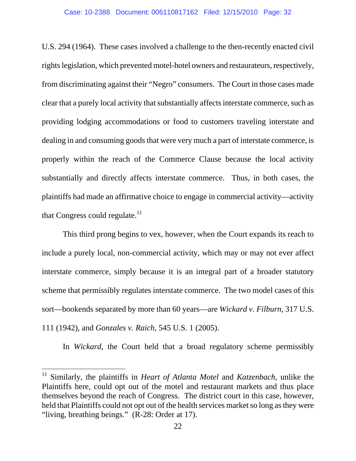U.S. 294 (1964). These cases involved a challenge to the then-recently enacted civil rights legislation, which prevented motel-hotel owners and restaurateurs, respectively, from discriminating against their "Negro" consumers. The Court in those cases made clear that a purely local activity that substantially affects interstate commerce, such as providing lodging accommodations or food to customers traveling interstate and dealing in and consuming goods that were very much a part of interstate commerce, is properly within the reach of the Commerce Clause because the local activity substantially and directly affects interstate commerce. Thus, in both cases, the plaintiffs had made an affirmative choice to engage in commercial activity—activity that Congress could regulate. $^{11}$ 

 This third prong begins to vex, however, when the Court expands its reach to include a purely local, non-commercial activity, which may or may not ever affect interstate commerce, simply because it is an integral part of a broader statutory scheme that permissibly regulates interstate commerce. The two model cases of this sort—bookends separated by more than 60 years—are *Wickard v. Filburn,* 317 U.S. 111 (1942), and *Gonzales v. Raich*, 545 U.S. 1 (2005).

In *Wickard*, the Court held that a broad regulatory scheme permissibly

 $\overline{a}$ 

<sup>11</sup> Similarly, the plaintiffs in *Heart of Atlanta Motel* and *Katzenbach*, unlike the Plaintiffs here, could opt out of the motel and restaurant markets and thus place themselves beyond the reach of Congress. The district court in this case, however, held that Plaintiffs could not opt out of the health services market so long as they were "living, breathing beings." (R-28: Order at 17).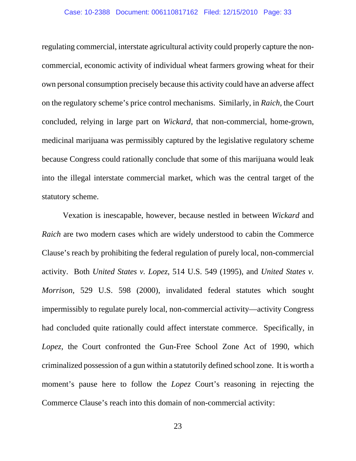regulating commercial, interstate agricultural activity could properly capture the noncommercial, economic activity of individual wheat farmers growing wheat for their own personal consumption precisely because this activity could have an adverse affect on the regulatory scheme's price control mechanisms. Similarly, in *Raich,* the Court concluded, relying in large part on *Wickard*, that non-commercial, home-grown, medicinal marijuana was permissibly captured by the legislative regulatory scheme because Congress could rationally conclude that some of this marijuana would leak into the illegal interstate commercial market, which was the central target of the statutory scheme.

 Vexation is inescapable, however, because nestled in between *Wickard* and *Raich* are two modern cases which are widely understood to cabin the Commerce Clause's reach by prohibiting the federal regulation of purely local, non-commercial activity. Both *United States v. Lopez*, 514 U.S. 549 (1995), and *United States v. Morrison*, 529 U.S. 598 (2000), invalidated federal statutes which sought impermissibly to regulate purely local, non-commercial activity—activity Congress had concluded quite rationally could affect interstate commerce. Specifically, in *Lopez,* the Court confronted the Gun-Free School Zone Act of 1990, which criminalized possession of a gun within a statutorily defined school zone. It is worth a moment's pause here to follow the *Lopez* Court's reasoning in rejecting the Commerce Clause's reach into this domain of non-commercial activity: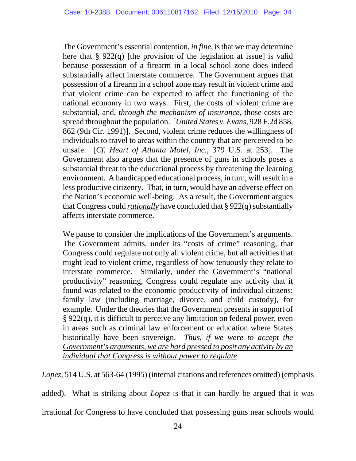The Government's essential contention, *in fine*, is that we may determine here that  $\S 922(q)$  [the provision of the legislation at issue] is valid because possession of a firearm in a local school zone does indeed substantially affect interstate commerce. The Government argues that possession of a firearm in a school zone may result in violent crime and that violent crime can be expected to affect the functioning of the national economy in two ways. First, the costs of violent crime are substantial, and, *through the mechanism of insurance*, those costs are spread throughout the population. [*United States v. Evans*, 928 F.2d 858, 862 (9th Cir. 1991)]. Second, violent crime reduces the willingness of individuals to travel to areas within the country that are perceived to be unsafe. [*Cf. Heart of Atlanta Motel, Inc.*, 379 U.S. at 253]. The Government also argues that the presence of guns in schools poses a substantial threat to the educational process by threatening the learning environment. A handicapped educational process, in turn, will result in a less productive citizenry. That, in turn, would have an adverse effect on the Nation's economic well-being. As a result, the Government argues that Congress could *rationally* have concluded that § 922(q) substantially affects interstate commerce.

We pause to consider the implications of the Government's arguments. The Government admits, under its "costs of crime" reasoning, that Congress could regulate not only all violent crime, but all activities that might lead to violent crime, regardless of how tenuously they relate to interstate commerce. Similarly, under the Government's "national productivity" reasoning, Congress could regulate any activity that it found was related to the economic productivity of individual citizens: family law (including marriage, divorce, and child custody), for example. Under the theories that the Government presents in support of § 922(q), it is difficult to perceive any limitation on federal power, even in areas such as criminal law enforcement or education where States historically have been sovereign. *Thus, if we were to accept the Government's arguments, we are hard pressed to posit any activity by an individual that Congress is without power to regulate*.

*Lopez*, 514 U.S. at 563-64 (1995) (internal citations and references omitted) (emphasis

added). What is striking about *Lopez* is that it can hardly be argued that it was irrational for Congress to have concluded that possessing guns near schools would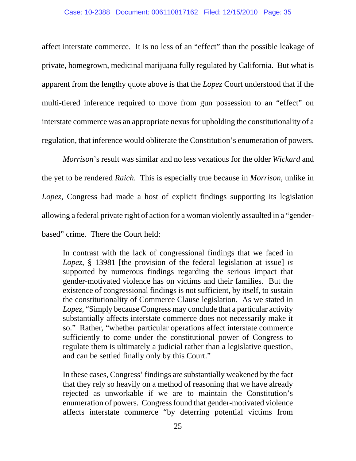affect interstate commerce. It is no less of an "effect" than the possible leakage of private, homegrown, medicinal marijuana fully regulated by California. But what is apparent from the lengthy quote above is that the *Lopez* Court understood that if the multi-tiered inference required to move from gun possession to an "effect" on interstate commerce was an appropriate nexus for upholding the constitutionality of a regulation, that inference would obliterate the Constitution's enumeration of powers.

*Morrison*'s result was similar and no less vexatious for the older *Wickard* and the yet to be rendered *Raich*. This is especially true because in *Morrison*, unlike in *Lopez*, Congress had made a host of explicit findings supporting its legislation allowing a federal private right of action for a woman violently assaulted in a "genderbased" crime. There the Court held:

In contrast with the lack of congressional findings that we faced in *Lopez*, § 13981 [the provision of the federal legislation at issue] *is* supported by numerous findings regarding the serious impact that gender-motivated violence has on victims and their families. But the existence of congressional findings is not sufficient, by itself, to sustain the constitutionality of Commerce Clause legislation. As we stated in *Lopez*, "Simply because Congress may conclude that a particular activity substantially affects interstate commerce does not necessarily make it so." Rather, "whether particular operations affect interstate commerce sufficiently to come under the constitutional power of Congress to regulate them is ultimately a judicial rather than a legislative question, and can be settled finally only by this Court."

In these cases, Congress' findings are substantially weakened by the fact that they rely so heavily on a method of reasoning that we have already rejected as unworkable if we are to maintain the Constitution's enumeration of powers. Congress found that gender-motivated violence affects interstate commerce "by deterring potential victims from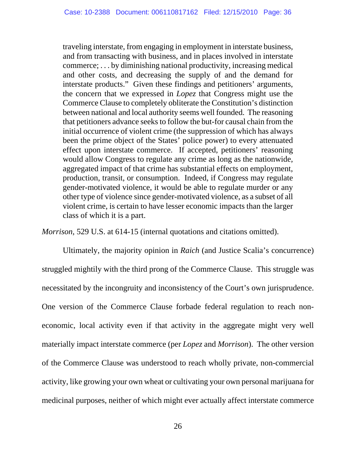traveling interstate, from engaging in employment in interstate business, and from transacting with business, and in places involved in interstate commerce; . . . by diminishing national productivity, increasing medical and other costs, and decreasing the supply of and the demand for interstate products." Given these findings and petitioners' arguments, the concern that we expressed in *Lopez* that Congress might use the Commerce Clause to completely obliterate the Constitution's distinction between national and local authority seems well founded. The reasoning that petitioners advance seeks to follow the but-for causal chain from the initial occurrence of violent crime (the suppression of which has always been the prime object of the States' police power) to every attenuated effect upon interstate commerce. If accepted, petitioners' reasoning would allow Congress to regulate any crime as long as the nationwide, aggregated impact of that crime has substantial effects on employment, production, transit, or consumption. Indeed, if Congress may regulate gender-motivated violence, it would be able to regulate murder or any other type of violence since gender-motivated violence, as a subset of all violent crime, is certain to have lesser economic impacts than the larger class of which it is a part.

*Morrison*, 529 U.S. at 614-15 (internal quotations and citations omitted).

 Ultimately, the majority opinion in *Raich* (and Justice Scalia's concurrence) struggled mightily with the third prong of the Commerce Clause. This struggle was necessitated by the incongruity and inconsistency of the Court's own jurisprudence. One version of the Commerce Clause forbade federal regulation to reach noneconomic, local activity even if that activity in the aggregate might very well materially impact interstate commerce (per *Lopez* and *Morrison*). The other version of the Commerce Clause was understood to reach wholly private, non-commercial activity, like growing your own wheat or cultivating your own personal marijuana for medicinal purposes, neither of which might ever actually affect interstate commerce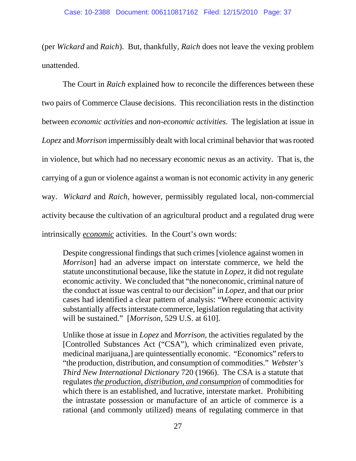(per *Wickard* and *Raich*). But, thankfully, *Raich* does not leave the vexing problem unattended.

The Court in *Raich* explained how to reconcile the differences between these two pairs of Commerce Clause decisions. This reconciliation rests in the distinction between *economic activities* and *non-economic activities*. The legislation at issue in *Lopez* and *Morrison* impermissibly dealt with local criminal behavior that was rooted in violence, but which had no necessary economic nexus as an activity. That is, the carrying of a gun or violence against a woman is not economic activity in any generic way. *Wickard* and *Raich*, however, permissibly regulated local, non-commercial activity because the cultivation of an agricultural product and a regulated drug were intrinsically *economic* activities. In the Court's own words:

Despite congressional findings that such crimes [violence against women in *Morrison*] had an adverse impact on interstate commerce, we held the statute unconstitutional because, like the statute in *Lopez*, it did not regulate economic activity. We concluded that "the noneconomic, criminal nature of the conduct at issue was central to our decision" in *Lopez*, and that our prior cases had identified a clear pattern of analysis: "Where economic activity substantially affects interstate commerce, legislation regulating that activity will be sustained." [*Morrison*, 529 U.S. at 610].

Unlike those at issue in *Lopez* and *Morrison*, the activities regulated by the [Controlled Substances Act ("CSA"), which criminalized even private, medicinal marijuana,] are quintessentially economic. "Economics" refers to "the production, distribution, and consumption of commodities." *Webster's Third New International Dictionary* 720 (1966). The CSA is a statute that regulates *the production, distribution, and consumption* of commodities for which there is an established, and lucrative, interstate market. Prohibiting the intrastate possession or manufacture of an article of commerce is a rational (and commonly utilized) means of regulating commerce in that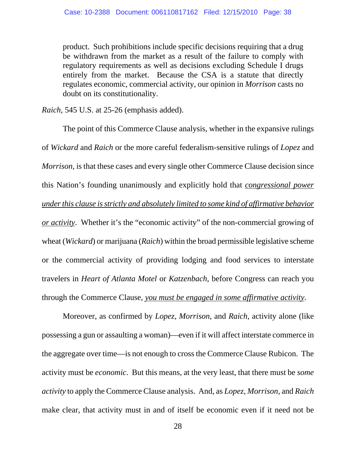product. Such prohibitions include specific decisions requiring that a drug be withdrawn from the market as a result of the failure to comply with regulatory requirements as well as decisions excluding Schedule I drugs entirely from the market. Because the CSA is a statute that directly regulates economic, commercial activity, our opinion in *Morrison* casts no doubt on its constitutionality.

*Raich*, 545 U.S. at 25-26 (emphasis added).

 The point of this Commerce Clause analysis, whether in the expansive rulings of *Wickard* and *Raich* or the more careful federalism-sensitive rulings of *Lopez* and *Morrison*, is that these cases and every single other Commerce Clause decision since this Nation's founding unanimously and explicitly hold that *congressional power under this clause is strictly and absolutely limited to some kind of affirmative behavior or activity*. Whether it's the "economic activity" of the non-commercial growing of wheat (*Wickard*) or marijuana (*Raich*) within the broad permissible legislative scheme or the commercial activity of providing lodging and food services to interstate travelers in *Heart of Atlanta Motel* or *Katzenbach*, before Congress can reach you through the Commerce Clause, *you must be engaged in some affirmative activity*.

Moreover, as confirmed by *Lopez, Morrison*, and *Raich*, activity alone (like possessing a gun or assaulting a woman)—even if it will affect interstate commerce in the aggregate over time—is not enough to cross the Commerce Clause Rubicon. The activity must be *economic*. But this means, at the very least, that there must be *some activity* to apply the Commerce Clause analysis. And, as *Lopez*, *Morrison*, and *Raich* make clear, that activity must in and of itself be economic even if it need not be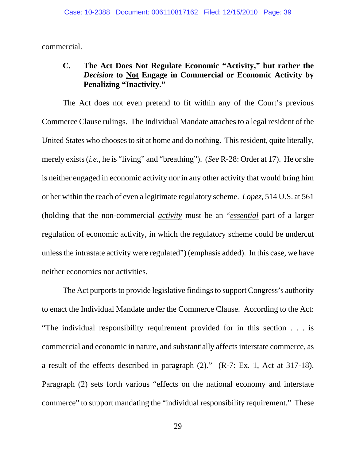commercial.

### **C. The Act Does Not Regulate Economic "Activity," but rather the**  *Decision* **to Not Engage in Commercial or Economic Activity by Penalizing "Inactivity."**

The Act does not even pretend to fit within any of the Court's previous Commerce Clause rulings. The Individual Mandate attaches to a legal resident of the United States who chooses to sit at home and do nothing. This resident, quite literally, merely exists (*i.e.*, he is "living" and "breathing"). (*See* R-28: Order at 17). He or she is neither engaged in economic activity nor in any other activity that would bring him or her within the reach of even a legitimate regulatory scheme. *Lopez*, 514 U.S. at 561 (holding that the non-commercial *activity* must be an "*essential* part of a larger regulation of economic activity, in which the regulatory scheme could be undercut unless the intrastate activity were regulated") (emphasis added). In this case, we have neither economics nor activities.

The Act purports to provide legislative findings to support Congress's authority to enact the Individual Mandate under the Commerce Clause. According to the Act: "The individual responsibility requirement provided for in this section . . . is commercial and economic in nature, and substantially affects interstate commerce, as a result of the effects described in paragraph (2)." (R-7: Ex. 1, Act at 317-18). Paragraph (2) sets forth various "effects on the national economy and interstate commerce" to support mandating the "individual responsibility requirement." These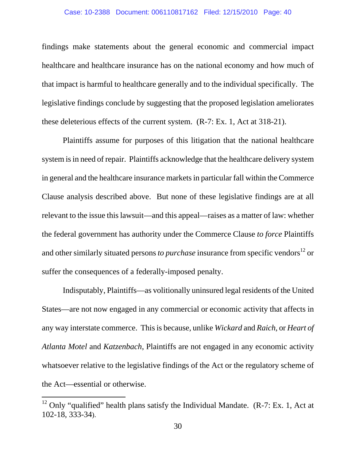findings make statements about the general economic and commercial impact healthcare and healthcare insurance has on the national economy and how much of that impact is harmful to healthcare generally and to the individual specifically. The legislative findings conclude by suggesting that the proposed legislation ameliorates these deleterious effects of the current system. (R-7: Ex. 1, Act at 318-21).

 Plaintiffs assume for purposes of this litigation that the national healthcare system is in need of repair. Plaintiffs acknowledge that the healthcare delivery system in general and the healthcare insurance markets in particular fall within the Commerce Clause analysis described above. But none of these legislative findings are at all relevant to the issue this lawsuit—and this appeal—raises as a matter of law: whether the federal government has authority under the Commerce Clause *to force* Plaintiffs and other similarly situated persons *to purchase* insurance from specific vendors<sup>12</sup> or suffer the consequences of a federally-imposed penalty.

Indisputably, Plaintiffs—as volitionally uninsured legal residents of the United States—are not now engaged in any commercial or economic activity that affects in any way interstate commerce. This is because, unlike *Wickard* and *Raich*, or *Heart of Atlanta Motel* and *Katzenbach*, Plaintiffs are not engaged in any economic activity whatsoever relative to the legislative findings of the Act or the regulatory scheme of the Act—essential or otherwise.

 $\overline{a}$ 

<sup>&</sup>lt;sup>12</sup> Only "qualified" health plans satisfy the Individual Mandate. (R-7: Ex. 1, Act at 102-18, 333-34).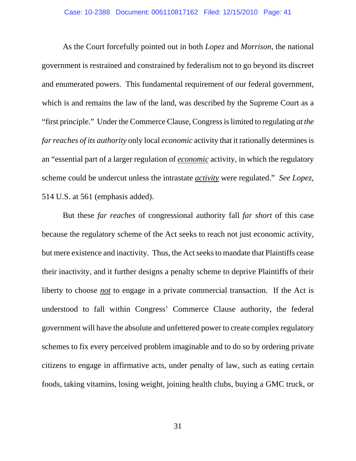As the Court forcefully pointed out in both *Lopez* and *Morrison*, the national government is restrained and constrained by federalism not to go beyond its discreet and enumerated powers. This fundamental requirement of our federal government, which is and remains the law of the land, was described by the Supreme Court as a "first principle." Under the Commerce Clause, Congress is limited to regulating *at the far reaches of its authority* only local *economic* activity that it rationally determines is an "essential part of a larger regulation of *economic* activity, in which the regulatory scheme could be undercut unless the intrastate *activity* were regulated." *See Lopez*, 514 U.S. at 561 (emphasis added).

But these *far reaches* of congressional authority fall *far short* of this case because the regulatory scheme of the Act seeks to reach not just economic activity, but mere existence and inactivity. Thus, the Act seeks to mandate that Plaintiffs cease their inactivity, and it further designs a penalty scheme to deprive Plaintiffs of their liberty to choose *not* to engage in a private commercial transaction. If the Act is understood to fall within Congress' Commerce Clause authority, the federal government will have the absolute and unfettered power to create complex regulatory schemes to fix every perceived problem imaginable and to do so by ordering private citizens to engage in affirmative acts, under penalty of law, such as eating certain foods, taking vitamins, losing weight, joining health clubs, buying a GMC truck, or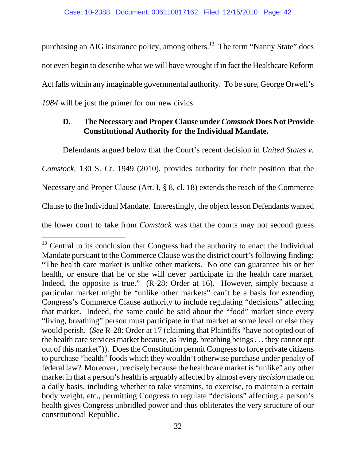purchasing an AIG insurance policy, among others.<sup>13</sup> The term "Nanny State" does not even begin to describe what we will have wrought if in fact the Healthcare Reform Act falls within any imaginable governmental authority. To be sure, George Orwell's *1984* will be just the primer for our new civics.

### **D. The Necessary and Proper Clause under** *Comstock* **Does Not Provide Constitutional Authority for the Individual Mandate.**

Defendants argued below that the Court's recent decision in *United States v.* 

*Comstock*, 130 S. Ct. 1949 (2010), provides authority for their position that the

Necessary and Proper Clause (Art. I, § 8, cl. 18) extends the reach of the Commerce

Clause to the Individual Mandate. Interestingly, the object lesson Defendants wanted

the lower court to take from *Comstock* was that the courts may not second guess

 $\overline{a}$ 

 $13$  Central to its conclusion that Congress had the authority to enact the Individual Mandate pursuant to the Commerce Clause was the district court's following finding: "The health care market is unlike other markets. No one can guarantee his or her health, or ensure that he or she will never participate in the health care market. Indeed, the opposite is true." (R-28: Order at 16). However, simply because a particular market might be "unlike other markets" can't be a basis for extending Congress's Commerce Clause authority to include regulating "decisions" affecting that market. Indeed, the same could be said about the "food" market since every "living, breathing" person must participate in that market at some level or else they would perish. (*See* R-28: Order at 17 (claiming that Plaintiffs "have not opted out of the health care services market because, as living, breathing beings . . . they cannot opt out of this market")). Does the Constitution permit Congress to force private citizens to purchase "health" foods which they wouldn't otherwise purchase under penalty of federal law? Moreover, precisely because the healthcare market is "unlike" any other market in that a person's health is arguably affected by almost every *decision* made on a daily basis, including whether to take vitamins, to exercise, to maintain a certain body weight, etc., permitting Congress to regulate "decisions" affecting a person's health gives Congress unbridled power and thus obliterates the very structure of our constitutional Republic.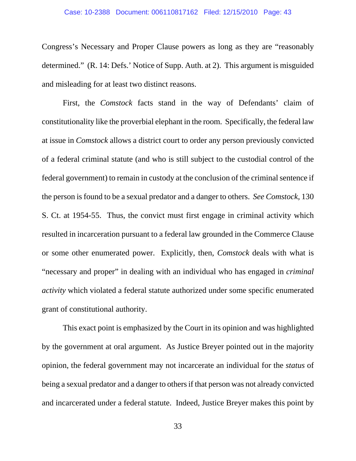Congress's Necessary and Proper Clause powers as long as they are "reasonably determined." (R. 14: Defs.' Notice of Supp. Auth. at 2). This argument is misguided and misleading for at least two distinct reasons.

First, the *Comstock* facts stand in the way of Defendants' claim of constitutionality like the proverbial elephant in the room. Specifically, the federal law at issue in *Comstock* allows a district court to order any person previously convicted of a federal criminal statute (and who is still subject to the custodial control of the federal government) to remain in custody at the conclusion of the criminal sentence if the person is found to be a sexual predator and a danger to others. *See Comstock*, 130 S. Ct. at 1954-55. Thus, the convict must first engage in criminal activity which resulted in incarceration pursuant to a federal law grounded in the Commerce Clause or some other enumerated power. Explicitly, then, *Comstock* deals with what is "necessary and proper" in dealing with an individual who has engaged in *criminal activity* which violated a federal statute authorized under some specific enumerated grant of constitutional authority.

This exact point is emphasized by the Court in its opinion and was highlighted by the government at oral argument. As Justice Breyer pointed out in the majority opinion, the federal government may not incarcerate an individual for the *status* of being a sexual predator and a danger to others if that person was not already convicted and incarcerated under a federal statute. Indeed, Justice Breyer makes this point by

33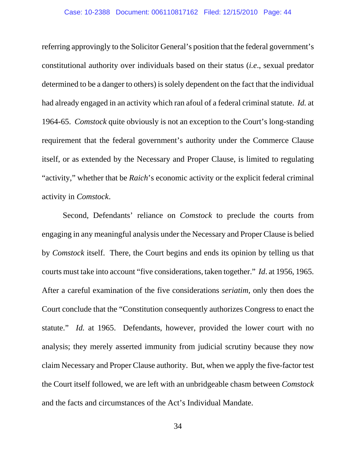referring approvingly to the Solicitor General's position that the federal government's constitutional authority over individuals based on their status (*i.e*., sexual predator determined to be a danger to others) is solely dependent on the fact that the individual had already engaged in an activity which ran afoul of a federal criminal statute. *Id.* at 1964-65. *Comstock* quite obviously is not an exception to the Court's long-standing requirement that the federal government's authority under the Commerce Clause itself, or as extended by the Necessary and Proper Clause, is limited to regulating "activity," whether that be *Raich*'s economic activity or the explicit federal criminal activity in *Comstock*.

Second, Defendants' reliance on *Comstock* to preclude the courts from engaging in any meaningful analysis under the Necessary and Proper Clause is belied by *Comstock* itself. There, the Court begins and ends its opinion by telling us that courts must take into account "five considerations, taken together." *Id*. at 1956, 1965. After a careful examination of the five considerations *seriatim*, only then does the Court conclude that the "Constitution consequently authorizes Congress to enact the statute." *Id.* at 1965. Defendants, however, provided the lower court with no analysis; they merely asserted immunity from judicial scrutiny because they now claim Necessary and Proper Clause authority. But, when we apply the five-factor test the Court itself followed, we are left with an unbridgeable chasm between *Comstock* and the facts and circumstances of the Act's Individual Mandate.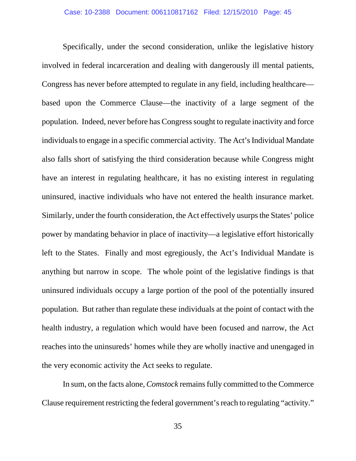Specifically, under the second consideration, unlike the legislative history involved in federal incarceration and dealing with dangerously ill mental patients, Congress has never before attempted to regulate in any field, including healthcare based upon the Commerce Clause—the inactivity of a large segment of the population. Indeed, never before has Congress sought to regulate inactivity and force individuals to engage in a specific commercial activity. The Act's Individual Mandate also falls short of satisfying the third consideration because while Congress might have an interest in regulating healthcare, it has no existing interest in regulating uninsured, inactive individuals who have not entered the health insurance market. Similarly, under the fourth consideration, the Act effectively usurps the States' police power by mandating behavior in place of inactivity—a legislative effort historically left to the States. Finally and most egregiously, the Act's Individual Mandate is anything but narrow in scope. The whole point of the legislative findings is that uninsured individuals occupy a large portion of the pool of the potentially insured population. But rather than regulate these individuals at the point of contact with the health industry, a regulation which would have been focused and narrow, the Act reaches into the uninsureds' homes while they are wholly inactive and unengaged in the very economic activity the Act seeks to regulate.

In sum, on the facts alone, *Comstock* remains fully committed to the Commerce Clause requirement restricting the federal government's reach to regulating "activity."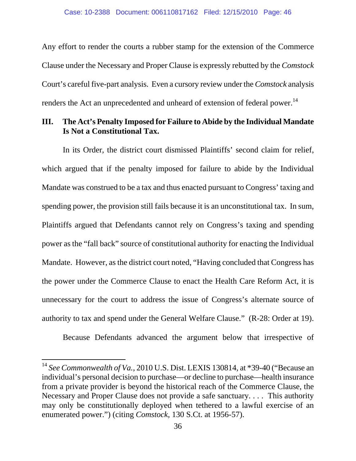Any effort to render the courts a rubber stamp for the extension of the Commerce Clause under the Necessary and Proper Clause is expressly rebutted by the *Comstock* Court's careful five-part analysis. Even a cursory review under the *Comstock* analysis renders the Act an unprecedented and unheard of extension of federal power.<sup>14</sup>

### **III. The Act's Penalty Imposed for Failure to Abide by the Individual Mandate Is Not a Constitutional Tax.**

In its Order, the district court dismissed Plaintiffs' second claim for relief, which argued that if the penalty imposed for failure to abide by the Individual Mandate was construed to be a tax and thus enacted pursuant to Congress' taxing and spending power, the provision still fails because it is an unconstitutional tax. In sum, Plaintiffs argued that Defendants cannot rely on Congress's taxing and spending power as the "fall back" source of constitutional authority for enacting the Individual Mandate. However, as the district court noted, "Having concluded that Congress has the power under the Commerce Clause to enact the Health Care Reform Act, it is unnecessary for the court to address the issue of Congress's alternate source of authority to tax and spend under the General Welfare Clause." (R-28: Order at 19).

Because Defendants advanced the argument below that irrespective of

-

<sup>&</sup>lt;sup>14</sup> See Commonwealth of Va., 2010 U.S. Dist. LEXIS 130814, at \*39-40 ("Because an individual's personal decision to purchase—or decline to purchase—health insurance from a private provider is beyond the historical reach of the Commerce Clause, the Necessary and Proper Clause does not provide a safe sanctuary. . . . This authority may only be constitutionally deployed when tethered to a lawful exercise of an enumerated power.") (citing *Comstock*, 130 S.Ct. at 1956-57).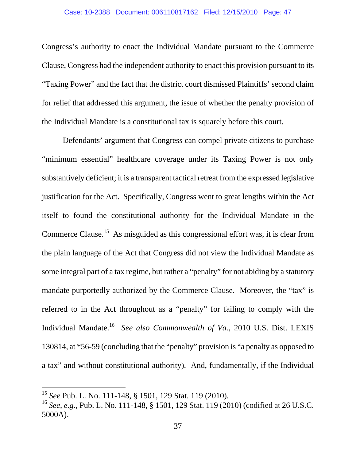Congress's authority to enact the Individual Mandate pursuant to the Commerce Clause, Congress had the independent authority to enact this provision pursuant to its "Taxing Power" and the fact that the district court dismissed Plaintiffs' second claim for relief that addressed this argument, the issue of whether the penalty provision of the Individual Mandate is a constitutional tax is squarely before this court.

Defendants' argument that Congress can compel private citizens to purchase "minimum essential" healthcare coverage under its Taxing Power is not only substantively deficient; it is a transparent tactical retreat from the expressed legislative justification for the Act. Specifically, Congress went to great lengths within the Act itself to found the constitutional authority for the Individual Mandate in the Commerce Clause.<sup>15</sup> As misguided as this congressional effort was, it is clear from the plain language of the Act that Congress did not view the Individual Mandate as some integral part of a tax regime, but rather a "penalty" for not abiding by a statutory mandate purportedly authorized by the Commerce Clause. Moreover, the "tax" is referred to in the Act throughout as a "penalty" for failing to comply with the Individual Mandate.16 *See also Commonwealth of Va.*, 2010 U.S. Dist. LEXIS 130814, at \*56-59 (concluding that the "penalty" provision is "a penalty as opposed to a tax" and without constitutional authority). And, fundamentally, if the Individual

 $\overline{a}$ 

<sup>15</sup> *See* Pub. L. No. 111-148, § 1501, 129 Stat. 119 (2010).

<sup>16</sup> *See, e.g.,* Pub. L. No. 111-148, § 1501, 129 Stat. 119 (2010) (codified at 26 U.S.C. 5000A).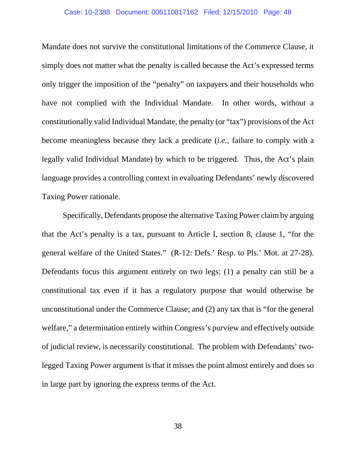Mandate does not survive the constitutional limitations of the Commerce Clause, it simply does not matter what the penalty is called because the Act's expressed terms only trigger the imposition of the "penalty" on taxpayers and their households who have not complied with the Individual Mandate. In other words, without a constitutionally valid Individual Mandate, the penalty (or "tax") provisions of the Act become meaningless because they lack a predicate (*i.e.*, failure to comply with a legally valid Individual Mandate) by which to be triggered. Thus, the Act's plain language provides a controlling context in evaluating Defendants' newly discovered Taxing Power rationale.

Specifically, Defendants propose the alternative Taxing Power claim by arguing that the Act's penalty is a tax, pursuant to Article I, section 8, clause 1, "for the general welfare of the United States." (R-12: Defs.' Resp. to Pls.' Mot. at 27-28). Defendants focus this argument entirely on two legs: (1) a penalty can still be a constitutional tax even if it has a regulatory purpose that would otherwise be unconstitutional under the Commerce Clause; and (2) any tax that is "for the general welfare," a determination entirely within Congress's purview and effectively outside of judicial review, is necessarily constitutional. The problem with Defendants' twolegged Taxing Power argument is that it misses the point almost entirely and does so in large part by ignoring the express terms of the Act.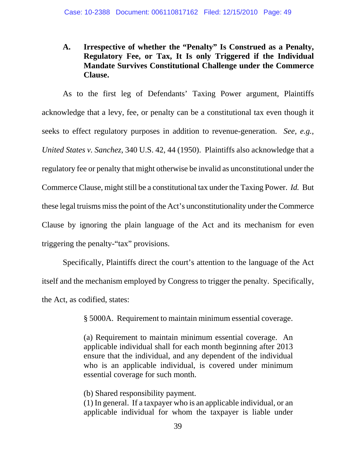### **A. Irrespective of whether the "Penalty" Is Construed as a Penalty, Regulatory Fee, or Tax, It Is only Triggered if the Individual Mandate Survives Constitutional Challenge under the Commerce Clause.**

As to the first leg of Defendants' Taxing Power argument, Plaintiffs acknowledge that a levy, fee, or penalty can be a constitutional tax even though it seeks to effect regulatory purposes in addition to revenue-generation. *See, e.g., United States v. Sanchez*, 340 U.S. 42, 44 (1950). Plaintiffs also acknowledge that a regulatory fee or penalty that might otherwise be invalid as unconstitutional under the Commerce Clause, might still be a constitutional tax under the Taxing Power. *Id.* But these legal truisms miss the point of the Act's unconstitutionality under the Commerce Clause by ignoring the plain language of the Act and its mechanism for even triggering the penalty-"tax" provisions.

Specifically, Plaintiffs direct the court's attention to the language of the Act itself and the mechanism employed by Congress to trigger the penalty. Specifically, the Act, as codified, states:

§ 5000A. Requirement to maintain minimum essential coverage.

(a) Requirement to maintain minimum essential coverage. An applicable individual shall for each month beginning after 2013 ensure that the individual, and any dependent of the individual who is an applicable individual, is covered under minimum essential coverage for such month.

(b) Shared responsibility payment. (1) In general. If a taxpayer who is an applicable individual, or an applicable individual for whom the taxpayer is liable under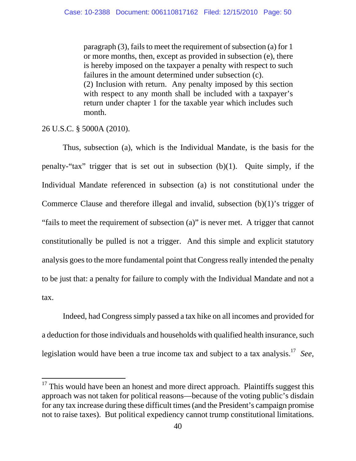paragraph (3), fails to meet the requirement of subsection (a) for 1 or more months, then, except as provided in subsection (e), there is hereby imposed on the taxpayer a penalty with respect to such failures in the amount determined under subsection (c). (2) Inclusion with return. Any penalty imposed by this section with respect to any month shall be included with a taxpayer's return under chapter 1 for the taxable year which includes such month.

26 U.S.C. § 5000A (2010).

 $\overline{a}$ 

Thus, subsection (a), which is the Individual Mandate, is the basis for the penalty-"tax" trigger that is set out in subsection (b)(1). Quite simply, if the Individual Mandate referenced in subsection (a) is not constitutional under the Commerce Clause and therefore illegal and invalid, subsection (b)(1)'s trigger of "fails to meet the requirement of subsection (a)" is never met. A trigger that cannot constitutionally be pulled is not a trigger. And this simple and explicit statutory analysis goes to the more fundamental point that Congress really intended the penalty to be just that: a penalty for failure to comply with the Individual Mandate and not a tax.

Indeed, had Congress simply passed a tax hike on all incomes and provided for a deduction for those individuals and households with qualified health insurance, such legislation would have been a true income tax and subject to a tax analysis.17 *See,* 

 $17$  This would have been an honest and more direct approach. Plaintiffs suggest this approach was not taken for political reasons—because of the voting public's disdain for any tax increase during these difficult times (and the President's campaign promise not to raise taxes). But political expediency cannot trump constitutional limitations.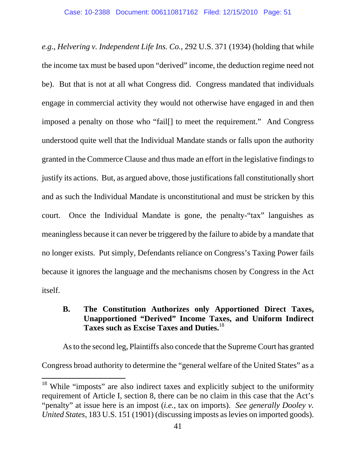*e.g*., *Helvering v. Independent Life Ins. Co.*, 292 U.S. 371 (1934) (holding that while the income tax must be based upon "derived" income, the deduction regime need not be). But that is not at all what Congress did. Congress mandated that individuals engage in commercial activity they would not otherwise have engaged in and then imposed a penalty on those who "fail[] to meet the requirement." And Congress understood quite well that the Individual Mandate stands or falls upon the authority granted in the Commerce Clause and thus made an effort in the legislative findings to justify its actions. But, as argued above, those justifications fall constitutionally short and as such the Individual Mandate is unconstitutional and must be stricken by this court. Once the Individual Mandate is gone, the penalty-"tax" languishes as meaningless because it can never be triggered by the failure to abide by a mandate that no longer exists. Put simply, Defendants reliance on Congress's Taxing Power fails because it ignores the language and the mechanisms chosen by Congress in the Act itself.

### **B. The Constitution Authorizes only Apportioned Direct Taxes, Unapportioned "Derived" Income Taxes, and Uniform Indirect Taxes such as Excise Taxes and Duties.**<sup>18</sup>

As to the second leg, Plaintiffs also concede that the Supreme Court has granted Congress broad authority to determine the "general welfare of the United States" as a

 $\overline{a}$  $18$  While "imposts" are also indirect taxes and explicitly subject to the uniformity requirement of Article I, section 8, there can be no claim in this case that the Act's "penalty" at issue here is an impost (*i.e.*, tax on imports). *See generally Dooley v. United States*, 183 U.S. 151 (1901) (discussing imposts as levies on imported goods).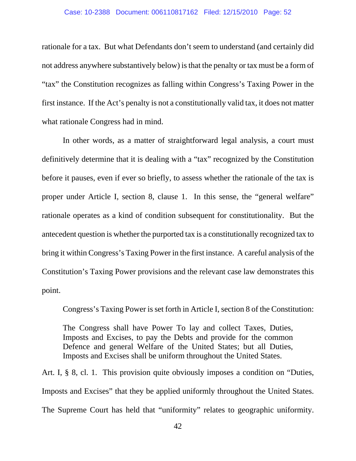rationale for a tax. But what Defendants don't seem to understand (and certainly did not address anywhere substantively below) is that the penalty or tax must be a form of "tax" the Constitution recognizes as falling within Congress's Taxing Power in the first instance. If the Act's penalty is not a constitutionally valid tax, it does not matter what rationale Congress had in mind.

In other words, as a matter of straightforward legal analysis, a court must definitively determine that it is dealing with a "tax" recognized by the Constitution before it pauses, even if ever so briefly, to assess whether the rationale of the tax is proper under Article I, section 8, clause 1. In this sense, the "general welfare" rationale operates as a kind of condition subsequent for constitutionality. But the antecedent question is whether the purported tax is a constitutionally recognized tax to bring it within Congress's Taxing Power in the first instance. A careful analysis of the Constitution's Taxing Power provisions and the relevant case law demonstrates this point.

Congress's Taxing Power is set forth in Article I, section 8 of the Constitution:

The Congress shall have Power To lay and collect Taxes, Duties, Imposts and Excises, to pay the Debts and provide for the common Defence and general Welfare of the United States; but all Duties, Imposts and Excises shall be uniform throughout the United States.

Art. I, § 8, cl. 1. This provision quite obviously imposes a condition on "Duties, Imposts and Excises" that they be applied uniformly throughout the United States. The Supreme Court has held that "uniformity" relates to geographic uniformity.

42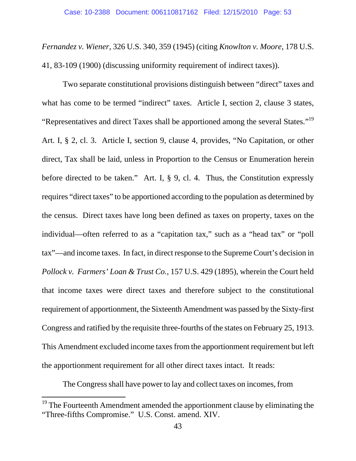*Fernandez v. Wiener*, 326 U.S. 340, 359 (1945) (citing *Knowlton v. Moore*, 178 U.S. 41, 83-109 (1900) (discussing uniformity requirement of indirect taxes)).

Two separate constitutional provisions distinguish between "direct" taxes and what has come to be termed "indirect" taxes. Article I, section 2, clause 3 states, "Representatives and direct Taxes shall be apportioned among the several States."<sup>19</sup> Art. I, § 2, cl. 3. Article I, section 9, clause 4, provides, "No Capitation, or other direct, Tax shall be laid, unless in Proportion to the Census or Enumeration herein before directed to be taken." Art. I, § 9, cl. 4. Thus, the Constitution expressly requires "direct taxes" to be apportioned according to the population as determined by the census. Direct taxes have long been defined as taxes on property, taxes on the individual—often referred to as a "capitation tax," such as a "head tax" or "poll tax"—and income taxes. In fact, in direct response to the Supreme Court's decision in *Pollock v. Farmers' Loan & Trust Co.*, 157 U.S. 429 (1895), wherein the Court held that income taxes were direct taxes and therefore subject to the constitutional requirement of apportionment, the Sixteenth Amendment was passed by the Sixty-first Congress and ratified by the requisite three-fourths of the states on February 25, 1913. This Amendment excluded income taxes from the apportionment requirement but left the apportionment requirement for all other direct taxes intact. It reads:

The Congress shall have power to lay and collect taxes on incomes, from

 $\overline{a}$ 

 $19$  The Fourteenth Amendment amended the apportionment clause by eliminating the "Three-fifths Compromise." U.S. Const. amend. XIV.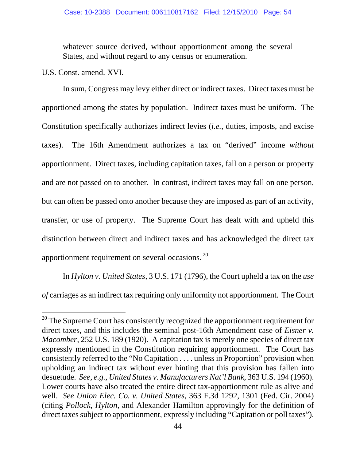whatever source derived, without apportionment among the several States, and without regard to any census or enumeration.

U.S. Const. amend. XVI.

j

 In sum, Congress may levy either direct or indirect taxes. Direct taxes must be apportioned among the states by population. Indirect taxes must be uniform. The Constitution specifically authorizes indirect levies (*i.e.*, duties, imposts, and excise taxes). The 16th Amendment authorizes a tax on "derived" income *without* apportionment. Direct taxes, including capitation taxes, fall on a person or property and are not passed on to another. In contrast, indirect taxes may fall on one person, but can often be passed onto another because they are imposed as part of an activity, transfer, or use of property. The Supreme Court has dealt with and upheld this distinction between direct and indirect taxes and has acknowledged the direct tax apportionment requirement on several occasions. 20

In *Hylton v. United States*, 3 U.S. 171 (1796), the Court upheld a tax on the *use of* carriages as an indirect tax requiring only uniformity not apportionment. The Court

<sup>&</sup>lt;sup>20</sup> The Supreme Court has consistently recognized the apportionment requirement for direct taxes, and this includes the seminal post-16th Amendment case of *Eisner v. Macomber*, 252 U.S. 189 (1920). A capitation tax is merely one species of direct tax expressly mentioned in the Constitution requiring apportionment. The Court has consistently referred to the "No Capitation . . . . unless in Proportion" provision when upholding an indirect tax without ever hinting that this provision has fallen into desuetude. *See, e.g., United States v. Manufacturers Nat'l Bank*, 363 U.S. 194 (1960). Lower courts have also treated the entire direct tax-apportionment rule as alive and well. *See Union Elec. Co. v. United States*, 363 F.3d 1292, 1301 (Fed. Cir. 2004) (citing *Pollock*, *Hylton*, and Alexander Hamilton approvingly for the definition of direct taxes subject to apportionment, expressly including "Capitation or poll taxes").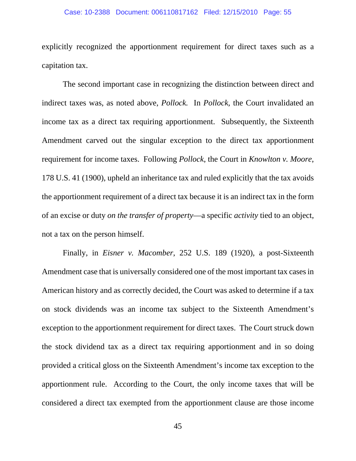explicitly recognized the apportionment requirement for direct taxes such as a capitation tax.

The second important case in recognizing the distinction between direct and indirect taxes was, as noted above, *Pollock.* In *Pollock*, the Court invalidated an income tax as a direct tax requiring apportionment. Subsequently, the Sixteenth Amendment carved out the singular exception to the direct tax apportionment requirement for income taxes. Following *Pollock*, the Court in *Knowlton v. Moore*, 178 U.S. 41 (1900), upheld an inheritance tax and ruled explicitly that the tax avoids the apportionment requirement of a direct tax because it is an indirect tax in the form of an excise or duty *on the transfer of property*—a specific *activity* tied to an object, not a tax on the person himself.

Finally, in *Eisner v. Macomber*, 252 U.S. 189 (1920), a post-Sixteenth Amendment case that is universally considered one of the most important tax cases in American history and as correctly decided, the Court was asked to determine if a tax on stock dividends was an income tax subject to the Sixteenth Amendment's exception to the apportionment requirement for direct taxes. The Court struck down the stock dividend tax as a direct tax requiring apportionment and in so doing provided a critical gloss on the Sixteenth Amendment's income tax exception to the apportionment rule. According to the Court, the only income taxes that will be considered a direct tax exempted from the apportionment clause are those income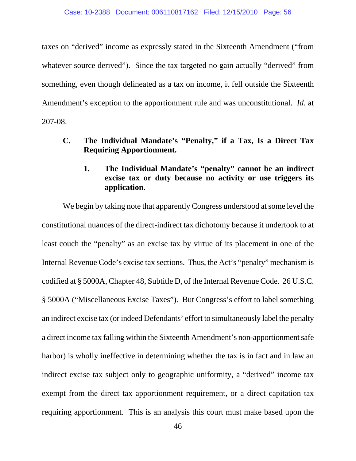taxes on "derived" income as expressly stated in the Sixteenth Amendment ("from whatever source derived"). Since the tax targeted no gain actually "derived" from something, even though delineated as a tax on income, it fell outside the Sixteenth Amendment's exception to the apportionment rule and was unconstitutional. *Id*. at 207-08.

- **C. The Individual Mandate's "Penalty," if a Tax, Is a Direct Tax Requiring Apportionment.** 
	- **1. The Individual Mandate's "penalty" cannot be an indirect excise tax or duty because no activity or use triggers its application.**

We begin by taking note that apparently Congress understood at some level the constitutional nuances of the direct-indirect tax dichotomy because it undertook to at least couch the "penalty" as an excise tax by virtue of its placement in one of the Internal Revenue Code's excise tax sections. Thus, the Act's "penalty" mechanism is codified at § 5000A, Chapter 48, Subtitle D, of the Internal Revenue Code. 26 U.S.C. § 5000A ("Miscellaneous Excise Taxes"). But Congress's effort to label something an indirect excise tax (or indeed Defendants' effort to simultaneously label the penalty a direct income tax falling within the Sixteenth Amendment's non-apportionment safe harbor) is wholly ineffective in determining whether the tax is in fact and in law an indirect excise tax subject only to geographic uniformity, a "derived" income tax exempt from the direct tax apportionment requirement, or a direct capitation tax requiring apportionment. This is an analysis this court must make based upon the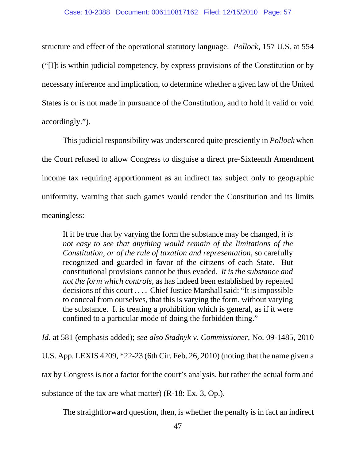structure and effect of the operational statutory language. *Pollock*, 157 U.S. at 554 ("[I]t is within judicial competency, by express provisions of the Constitution or by necessary inference and implication, to determine whether a given law of the United States is or is not made in pursuance of the Constitution, and to hold it valid or void accordingly.").

This judicial responsibility was underscored quite presciently in *Pollock* when the Court refused to allow Congress to disguise a direct pre-Sixteenth Amendment income tax requiring apportionment as an indirect tax subject only to geographic uniformity, warning that such games would render the Constitution and its limits meaningless:

If it be true that by varying the form the substance may be changed, *it is not easy to see that anything would remain of the limitations of the Constitution, or of the rule of taxation and representation*, so carefully recognized and guarded in favor of the citizens of each State. But constitutional provisions cannot be thus evaded. *It is the substance and not the form which controls*, as has indeed been established by repeated decisions of this court . . . . Chief Justice Marshall said: "It is impossible to conceal from ourselves, that this is varying the form, without varying the substance. It is treating a prohibition which is general, as if it were confined to a particular mode of doing the forbidden thing."

*Id.* at 581 (emphasis added); *see also Stadnyk v. Commissioner*, No. 09-1485, 2010 U.S. App. LEXIS 4209, \*22-23 (6th Cir. Feb. 26, 2010) (noting that the name given a

tax by Congress is not a factor for the court's analysis, but rather the actual form and

substance of the tax are what matter) (R-18: Ex. 3, Op.).

The straightforward question, then, is whether the penalty is in fact an indirect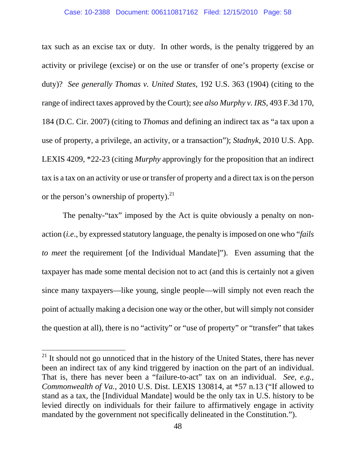tax such as an excise tax or duty. In other words, is the penalty triggered by an activity or privilege (excise) or on the use or transfer of one's property (excise or duty)? *See generally Thomas v. United States*, 192 U.S. 363 (1904) (citing to the range of indirect taxes approved by the Court); *see also Murphy v. IRS*, 493 F.3d 170, 184 (D.C. Cir. 2007) (citing to *Thomas* and defining an indirect tax as "a tax upon a use of property, a privilege, an activity, or a transaction"); *Stadnyk*, 2010 U.S. App. LEXIS 4209, \*22-23 (citing *Murphy* approvingly for the proposition that an indirect tax is a tax on an activity or use or transfer of property and a direct tax is on the person or the person's ownership of property).<sup>21</sup>

The penalty-"tax" imposed by the Act is quite obviously a penalty on nonaction (*i.e*., by expressed statutory language, the penalty is imposed on one who "*fails to meet* the requirement [of the Individual Mandate]"). Even assuming that the taxpayer has made some mental decision not to act (and this is certainly not a given since many taxpayers—like young, single people—will simply not even reach the point of actually making a decision one way or the other, but will simply not consider the question at all), there is no "activity" or "use of property" or "transfer" that takes

-

 $21$  It should not go unnoticed that in the history of the United States, there has never been an indirect tax of any kind triggered by inaction on the part of an individual. That is, there has never been a "failure-to-act" tax on an individual. *See, e.g., Commonwealth of Va.*, 2010 U.S. Dist. LEXIS 130814, at \*57 n.13 ("If allowed to stand as a tax, the [Individual Mandate] would be the only tax in U.S. history to be levied directly on individuals for their failure to affirmatively engage in activity mandated by the government not specifically delineated in the Constitution.").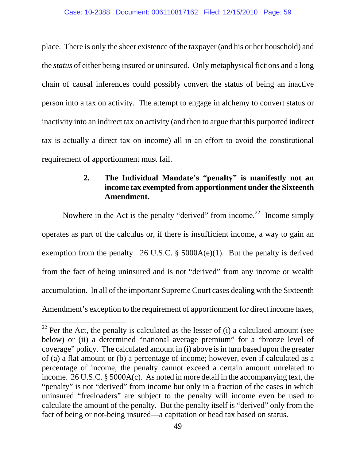place. There is only the sheer existence of the taxpayer (and his or her household) and the *status* of either being insured or uninsured. Only metaphysical fictions and a long chain of causal inferences could possibly convert the status of being an inactive person into a tax on activity. The attempt to engage in alchemy to convert status or inactivity into an indirect tax on activity (and then to argue that this purported indirect tax is actually a direct tax on income) all in an effort to avoid the constitutional requirement of apportionment must fail.

### **2. The Individual Mandate's "penalty" is manifestly not an income tax exempted from apportionment under the Sixteenth Amendment.**

Nowhere in the Act is the penalty "derived" from income.<sup>22</sup> Income simply operates as part of the calculus or, if there is insufficient income, a way to gain an exemption from the penalty. 26 U.S.C.  $\S$  5000A(e)(1). But the penalty is derived from the fact of being uninsured and is not "derived" from any income or wealth accumulation. In all of the important Supreme Court cases dealing with the Sixteenth Amendment's exception to the requirement of apportionment for direct income taxes,

j

 $22$  Per the Act, the penalty is calculated as the lesser of (i) a calculated amount (see below) or (ii) a determined "national average premium" for a "bronze level of coverage" policy. The calculated amount in (i) above is in turn based upon the greater of (a) a flat amount or (b) a percentage of income; however, even if calculated as a percentage of income, the penalty cannot exceed a certain amount unrelated to income. 26 U.S.C. § 5000A(c). As noted in more detail in the accompanying text, the "penalty" is not "derived" from income but only in a fraction of the cases in which uninsured "freeloaders" are subject to the penalty will income even be used to calculate the amount of the penalty. But the penalty itself is "derived" only from the fact of being or not-being insured—a capitation or head tax based on status.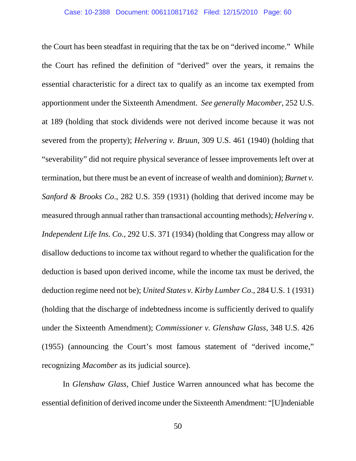the Court has been steadfast in requiring that the tax be on "derived income." While the Court has refined the definition of "derived" over the years, it remains the essential characteristic for a direct tax to qualify as an income tax exempted from apportionment under the Sixteenth Amendment. *See generally Macomber*, 252 U.S. at 189 (holding that stock dividends were not derived income because it was not severed from the property); *Helvering v. Bruun*, 309 U.S. 461 (1940) (holding that "severability" did not require physical severance of lessee improvements left over at termination, but there must be an event of increase of wealth and dominion); *Burnet v. Sanford & Brooks Co*., 282 U.S. 359 (1931) (holding that derived income may be measured through annual rather than transactional accounting methods); *Helvering v. Independent Life Ins. Co.*, 292 U.S. 371 (1934) (holding that Congress may allow or disallow deductions to income tax without regard to whether the qualification for the deduction is based upon derived income, while the income tax must be derived, the deduction regime need not be); *United States v. Kirby Lumber Co*., 284 U.S. 1 (1931) (holding that the discharge of indebtedness income is sufficiently derived to qualify under the Sixteenth Amendment); *Commissioner v. Glenshaw Glass*, 348 U.S. 426 (1955) (announcing the Court's most famous statement of "derived income," recognizing *Macomber* as its judicial source).

In *Glenshaw Glass*, Chief Justice Warren announced what has become the essential definition of derived income under the Sixteenth Amendment: "[U]ndeniable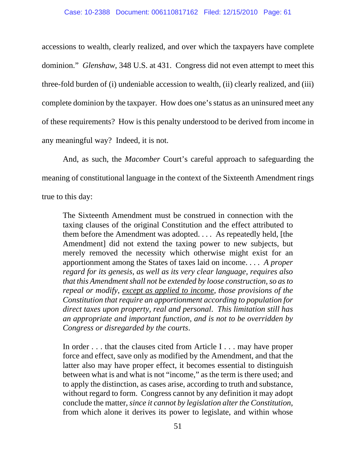accessions to wealth, clearly realized, and over which the taxpayers have complete dominion." *Glenshaw*, 348 U.S. at 431. Congress did not even attempt to meet this three-fold burden of (i) undeniable accession to wealth, (ii) clearly realized, and (iii) complete dominion by the taxpayer. How does one's status as an uninsured meet any of these requirements? How is this penalty understood to be derived from income in any meaningful way? Indeed, it is not.

And, as such, the *Macomber* Court's careful approach to safeguarding the meaning of constitutional language in the context of the Sixteenth Amendment rings true to this day:

The Sixteenth Amendment must be construed in connection with the taxing clauses of the original Constitution and the effect attributed to them before the Amendment was adopted. . . . As repeatedly held, [the Amendment] did not extend the taxing power to new subjects, but merely removed the necessity which otherwise might exist for an apportionment among the States of taxes laid on income. . . . *A proper regard for its genesis, as well as its very clear language, requires also that this Amendment shall not be extended by loose construction, so as to repeal or modify*, *except as applied to income, those provisions of the Constitution that require an apportionment according to population for direct taxes upon property, real and personal*. *This limitation still has an appropriate and important function, and is not to be overridden by Congress or disregarded by the courts*.

In order . . . that the clauses cited from Article I . . . may have proper force and effect, save only as modified by the Amendment, and that the latter also may have proper effect, it becomes essential to distinguish between what is and what is not "income," as the term is there used; and to apply the distinction, as cases arise, according to truth and substance, without regard to form. Congress cannot by any definition it may adopt conclude the matter, *since it cannot by legislation alter the Constitution*, from which alone it derives its power to legislate, and within whose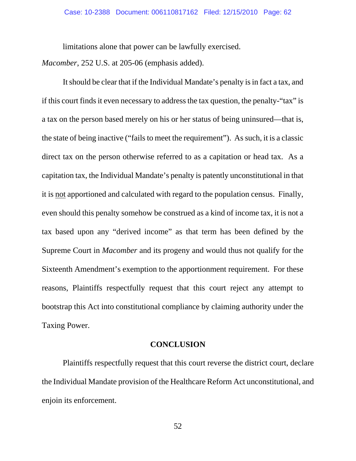limitations alone that power can be lawfully exercised.

*Macomber*, 252 U.S. at 205-06 (emphasis added).

 It should be clear that if the Individual Mandate's penalty is in fact a tax, and if this court finds it even necessary to address the tax question, the penalty-"tax" is a tax on the person based merely on his or her status of being uninsured—that is, the state of being inactive ("fails to meet the requirement"). As such, it is a classic direct tax on the person otherwise referred to as a capitation or head tax. As a capitation tax, the Individual Mandate's penalty is patently unconstitutional in that it is not apportioned and calculated with regard to the population census. Finally, even should this penalty somehow be construed as a kind of income tax, it is not a tax based upon any "derived income" as that term has been defined by the Supreme Court in *Macomber* and its progeny and would thus not qualify for the Sixteenth Amendment's exemption to the apportionment requirement. For these reasons, Plaintiffs respectfully request that this court reject any attempt to bootstrap this Act into constitutional compliance by claiming authority under the Taxing Power.

#### **CONCLUSION**

 Plaintiffs respectfully request that this court reverse the district court, declare the Individual Mandate provision of the Healthcare Reform Act unconstitutional, and enjoin its enforcement.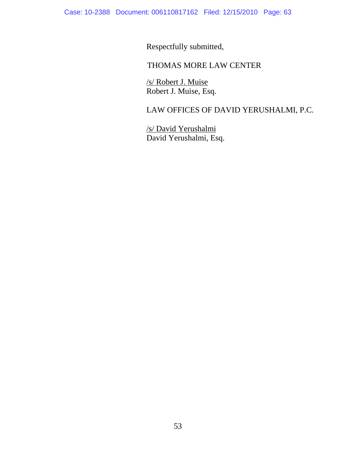Respectfully submitted,

### THOMAS MORE LAW CENTER

/s/ Robert J. Muise Robert J. Muise, Esq.

## LAW OFFICES OF DAVID YERUSHALMI, P.C.

/s/ David Yerushalmi David Yerushalmi, Esq.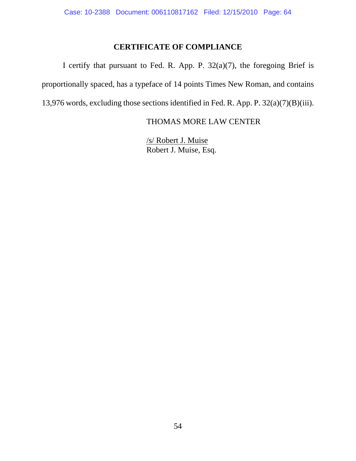### **CERTIFICATE OF COMPLIANCE**

 I certify that pursuant to Fed. R. App. P. 32(a)(7), the foregoing Brief is proportionally spaced, has a typeface of 14 points Times New Roman, and contains 13,976 words, excluding those sections identified in Fed. R. App. P. 32(a)(7)(B)(iii).

### THOMAS MORE LAW CENTER

/s/ Robert J. Muise Robert J. Muise, Esq.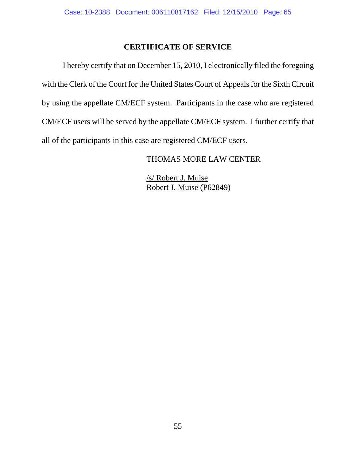### **CERTIFICATE OF SERVICE**

 I hereby certify that on December 15, 2010, I electronically filed the foregoing with the Clerk of the Court for the United States Court of Appeals for the Sixth Circuit by using the appellate CM/ECF system. Participants in the case who are registered CM/ECF users will be served by the appellate CM/ECF system. I further certify that all of the participants in this case are registered CM/ECF users.

### THOMAS MORE LAW CENTER

/s/ Robert J. Muise Robert J. Muise (P62849)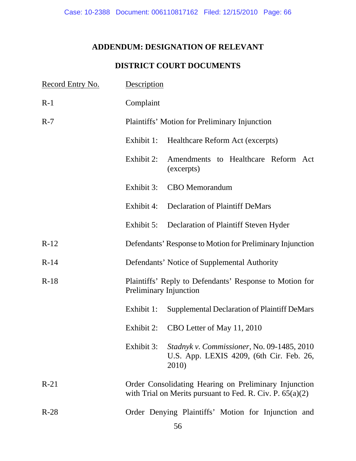## **ADDENDUM: DESIGNATION OF RELEVANT**

### **DISTRICT COURT DOCUMENTS**

| Record Entry No. | Description                                                                                                          |                                                                                                 |  |
|------------------|----------------------------------------------------------------------------------------------------------------------|-------------------------------------------------------------------------------------------------|--|
| $R-1$            | Complaint                                                                                                            |                                                                                                 |  |
| $R-7$            |                                                                                                                      | Plaintiffs' Motion for Preliminary Injunction                                                   |  |
|                  | Exhibit 1:                                                                                                           | Healthcare Reform Act (excerpts)                                                                |  |
|                  | Exhibit 2:                                                                                                           | Amendments to Healthcare Reform Act<br>(excerpts)                                               |  |
|                  |                                                                                                                      | Exhibit 3: CBO Memorandum                                                                       |  |
|                  |                                                                                                                      | Exhibit 4: Declaration of Plaintiff DeMars                                                      |  |
|                  | Exhibit 5:                                                                                                           | Declaration of Plaintiff Steven Hyder                                                           |  |
| $R-12$           | Defendants' Response to Motion for Preliminary Injunction                                                            |                                                                                                 |  |
| $R-14$           | Defendants' Notice of Supplemental Authority                                                                         |                                                                                                 |  |
| $R-18$           | Plaintiffs' Reply to Defendants' Response to Motion for<br>Preliminary Injunction                                    |                                                                                                 |  |
|                  | Exhibit 1:                                                                                                           | <b>Supplemental Declaration of Plaintiff DeMars</b>                                             |  |
|                  |                                                                                                                      | Exhibit 2: CBO Letter of May 11, 2010                                                           |  |
|                  | Exhibit 3:                                                                                                           | Stadnyk v. Commissioner, No. 09-1485, 2010<br>U.S. App. LEXIS 4209, (6th Cir. Feb. 26,<br>2010) |  |
| $R-21$           | Order Consolidating Hearing on Preliminary Injunction<br>with Trial on Merits pursuant to Fed. R. Civ. P. $65(a)(2)$ |                                                                                                 |  |
| $R-28$           |                                                                                                                      | Order Denying Plaintiffs' Motion for Injunction and                                             |  |